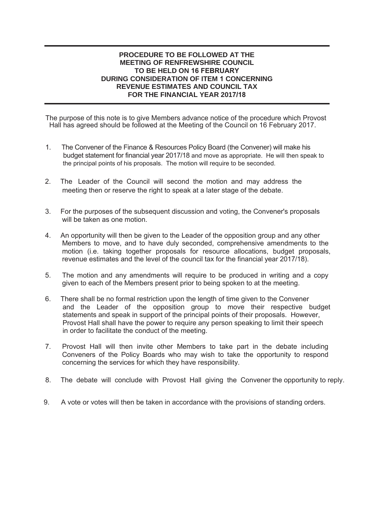#### **PROCEDURE TO BE FOLLOWED AT THE MEETING OF RENFREWSHIRE COUNCIL TO BE HELD ON 16 FEBRUARY DURING CONSIDERATION OF ITEM 1 CONCERNING REVENUE ESTIMATES AND COUNCIL TAX FOR THE FINANCIAL YEAR 2017/18**

The purpose of this note is to give Members advance notice of the procedure which Provost Hall has agreed should be followed at the Meeting of the Council on 16 February 2017.

- The Convener of the Finance & Resources Policy Board (the Convener) will make his budget statement for financial year 2017/18 and move as appropriate. He will then speak to the principal points of his proposals. The motion will require to be seconded.
- 2. The Leader of the Council will second the motion and may address the meeting then or reserve the right to speak at a later stage of the debate.
- 3. For the purposes of the subsequent discussion and voting, the Convener's proposals will be taken as one motion.
- 4. An opportunity will then be given to the Leader of the opposition group and any other Members to move, and to have duly seconded, comprehensive amendments to the motion (i.e. taking together proposals for resource allocations, budget proposals, revenue estimates and the level of the council tax for the financial vear 2017/18).
- 5. The motion and any amendments will require to be produced in writing and a copy given to each of the Members present prior to being spoken to at the meeting.
- 6. There shall be no formal restriction upon the length of time given to the Convener and the Leader of the opposition group to move their respective budget statements and speak in support of the principal points of their proposals. However, Provost Hall shall have the power to require any person speaking to limit their speech in order to facilitate the conduct of the meeting.
- 7. Provost Hall will then invite other Members to take part in the debate including Conveners of the Policy Boards who may wish to take the opportunity to respond concerning the services for which they have responsibility.
- 8. The debate will conclude with Provost Hall giving the Convener the opportunity to reply.
- 9. A vote or votes will then be taken in accordance with the provisions of standing orders.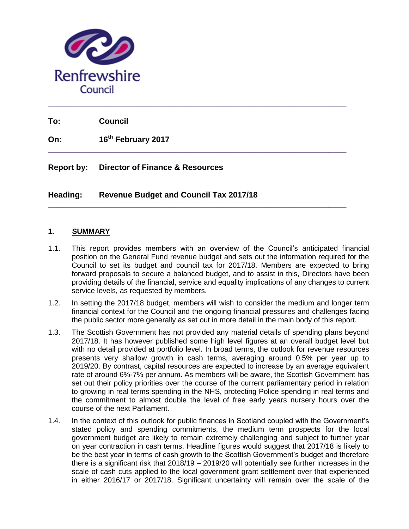

| To:      | <b>Council</b>                                    |
|----------|---------------------------------------------------|
| On:      | 16 <sup>th</sup> February 2017                    |
|          | <b>Report by:</b> Director of Finance & Resources |
| Heading: | <b>Revenue Budget and Council Tax 2017/18</b>     |

**\_\_\_\_\_\_\_\_\_\_\_\_\_\_\_\_\_\_\_\_\_\_\_\_\_\_\_\_\_\_\_\_\_\_\_\_\_\_\_\_\_\_\_\_\_\_\_\_\_\_\_\_\_\_\_\_\_\_\_\_\_\_\_\_\_\_\_**

#### **1. SUMMARY**

- 1.1. This report provides members with an overview of the Council's anticipated financial position on the General Fund revenue budget and sets out the information required for the Council to set its budget and council tax for 2017/18. Members are expected to bring forward proposals to secure a balanced budget, and to assist in this, Directors have been providing details of the financial, service and equality implications of any changes to current service levels, as requested by members.
- 1.2. In setting the 2017/18 budget, members will wish to consider the medium and longer term financial context for the Council and the ongoing financial pressures and challenges facing the public sector more generally as set out in more detail in the main body of this report.
- 1.3. The Scottish Government has not provided any material details of spending plans beyond 2017/18. It has however published some high level figures at an overall budget level but with no detail provided at portfolio level. In broad terms, the outlook for revenue resources presents very shallow growth in cash terms, averaging around 0.5% per year up to 2019/20. By contrast, capital resources are expected to increase by an average equivalent rate of around 6%-7% per annum. As members will be aware, the Scottish Government has set out their policy priorities over the course of the current parliamentary period in relation to growing in real terms spending in the NHS, protecting Police spending in real terms and the commitment to almost double the level of free early years nursery hours over the course of the next Parliament.
- 1.4. In the context of this outlook for public finances in Scotland coupled with the Government's stated policy and spending commitments, the medium term prospects for the local government budget are likely to remain extremely challenging and subject to further year on year contraction in cash terms. Headline figures would suggest that 2017/18 is likely to be the best year in terms of cash growth to the Scottish Government's budget and therefore there is a significant risk that 2018/19 – 2019/20 will potentially see further increases in the scale of cash cuts applied to the local government grant settlement over that experienced in either 2016/17 or 2017/18. Significant uncertainty will remain over the scale of the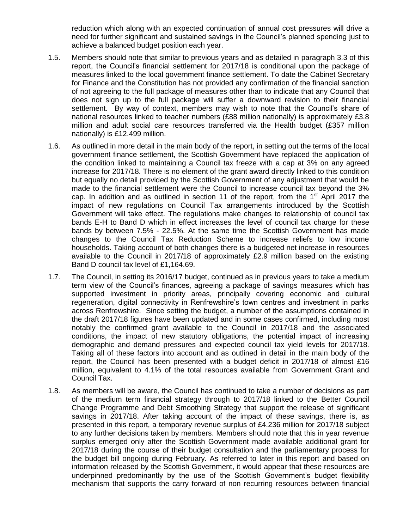reduction which along with an expected continuation of annual cost pressures will drive a need for further significant and sustained savings in the Council's planned spending just to achieve a balanced budget position each year.

- 1.5. Members should note that similar to previous years and as detailed in paragraph 3.3 of this report, the Council's financial settlement for 2017/18 is conditional upon the package of measures linked to the local government finance settlement. To date the Cabinet Secretary for Finance and the Constitution has not provided any confirmation of the financial sanction of not agreeing to the full package of measures other than to indicate that any Council that does not sign up to the full package will suffer a downward revision to their financial settlement. By way of context, members may wish to note that the Council's share of national resources linked to teacher numbers (£88 million nationally) is approximately £3.8 million and adult social care resources transferred via the Health budget (£357 million nationally) is £12.499 million.
- 1.6. As outlined in more detail in the main body of the report, in setting out the terms of the local government finance settlement, the Scottish Government have replaced the application of the condition linked to maintaining a Council tax freeze with a cap at 3% on any agreed increase for 2017/18. There is no element of the grant award directly linked to this condition but equally no detail provided by the Scottish Government of any adjustment that would be made to the financial settlement were the Council to increase council tax beyond the 3% cap. In addition and as outlined in section 11 of the report, from the  $1<sup>st</sup>$  April 2017 the impact of new regulations on Council Tax arrangements introduced by the Scottish Government will take effect. The regulations make changes to relationship of council tax bands E-H to Band D which in effect increases the level of council tax charge for these bands by between 7.5% - 22.5%. At the same time the Scottish Government has made changes to the Council Tax Reduction Scheme to increase reliefs to low income households. Taking account of both changes there is a budgeted net increase in resources available to the Council in 2017/18 of approximately £2.9 million based on the existing Band D council tax level of £1,164.69.
- 1.7. The Council, in setting its 2016/17 budget, continued as in previous years to take a medium term view of the Council's finances, agreeing a package of savings measures which has supported investment in priority areas, principally covering economic and cultural regeneration, digital connectivity in Renfrewshire's town centres and investment in parks across Renfrewshire. Since setting the budget, a number of the assumptions contained in the draft 2017/18 figures have been updated and in some cases confirmed, including most notably the confirmed grant available to the Council in 2017/18 and the associated conditions, the impact of new statutory obligations, the potential impact of increasing demographic and demand pressures and expected council tax yield levels for 2017/18. Taking all of these factors into account and as outlined in detail in the main body of the report, the Council has been presented with a budget deficit in 2017/18 of almost £16 million, equivalent to 4.1% of the total resources available from Government Grant and Council Tax.
- 1.8. As members will be aware, the Council has continued to take a number of decisions as part of the medium term financial strategy through to 2017/18 linked to the Better Council Change Programme and Debt Smoothing Strategy that support the release of significant savings in 2017/18. After taking account of the impact of these savings, there is, as presented in this report, a temporary revenue surplus of £4.236 million for 2017/18 subject to any further decisions taken by members. Members should note that this in year revenue surplus emerged only after the Scottish Government made available additional grant for 2017/18 during the course of their budget consultation and the parliamentary process for the budget bill ongoing during February. As referred to later in this report and based on information released by the Scottish Government, it would appear that these resources are underpinned predominantly by the use of the Scottish Government's budget flexibility mechanism that supports the carry forward of non recurring resources between financial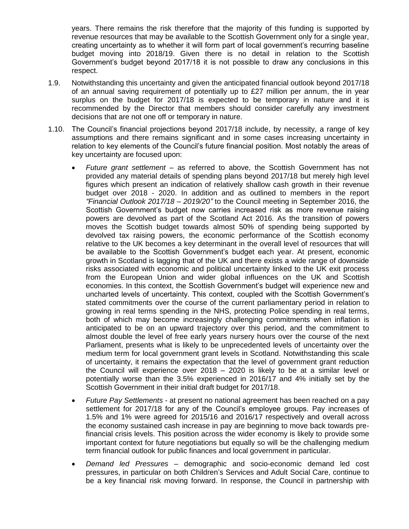years. There remains the risk therefore that the majority of this funding is supported by revenue resources that may be available to the Scottish Government only for a single year, creating uncertainty as to whether it will form part of local government's recurring baseline budget moving into 2018/19. Given there is no detail in relation to the Scottish Government's budget beyond 2017/18 it is not possible to draw any conclusions in this respect.

- 1.9. Notwithstanding this uncertainty and given the anticipated financial outlook beyond 2017/18 of an annual saving requirement of potentially up to £27 million per annum, the in year surplus on the budget for 2017/18 is expected to be temporary in nature and it is recommended by the Director that members should consider carefully any investment decisions that are not one off or temporary in nature.
- 1.10. The Council's financial projections beyond 2017/18 include, by necessity, a range of key assumptions and there remains significant and in some cases increasing uncertainty in relation to key elements of the Council's future financial position. Most notably the areas of key uncertainty are focused upon:
	- *Future grant settlement* as referred to above, the Scottish Government has not provided any material details of spending plans beyond 2017/18 but merely high level figures which present an indication of relatively shallow cash growth in their revenue budget over 2018 - 2020. In addition and as outlined to members in the report *"Financial Outlook 2017/18 – 2019/20"* to the Council meeting in September 2016, the Scottish Government's budget now carries increased risk as more revenue raising powers are devolved as part of the Scotland Act 2016. As the transition of powers moves the Scottish budget towards almost 50% of spending being supported by devolved tax raising powers, the economic performance of the Scottish economy relative to the UK becomes a key determinant in the overall level of resources that will be available to the Scottish Government's budget each year. At present, economic growth in Scotland is lagging that of the UK and there exists a wide range of downside risks associated with economic and political uncertainty linked to the UK exit process from the European Union and wider global influences on the UK and Scottish economies. In this context, the Scottish Government's budget will experience new and uncharted levels of uncertainty. This context, coupled with the Scottish Government's stated commitments over the course of the current parliamentary period in relation to growing in real terms spending in the NHS, protecting Police spending in real terms, both of which may become increasingly challenging commitments when inflation is anticipated to be on an upward trajectory over this period, and the commitment to almost double the level of free early years nursery hours over the course of the next Parliament, presents what is likely to be unprecedented levels of uncertainty over the medium term for local government grant levels in Scotland. Notwithstanding this scale of uncertainty, it remains the expectation that the level of government grant reduction the Council will experience over 2018 – 2020 is likely to be at a similar level or potentially worse than the 3.5% experienced in 2016/17 and 4% initially set by the Scottish Government in their initial draft budget for 2017/18.
	- *Future Pay Settlements* at present no national agreement has been reached on a pay settlement for 2017/18 for any of the Council's employee groups. Pay increases of 1.5% and 1% were agreed for 2015/16 and 2016/17 respectively and overall across the economy sustained cash increase in pay are beginning to move back towards prefinancial crisis levels. This position across the wider economy is likely to provide some important context for future negotiations but equally so will be the challenging medium term financial outlook for public finances and local government in particular.
	- *Demand led Pressures* demographic and socio-economic demand led cost pressures, in particular on both Children's Services and Adult Social Care, continue to be a key financial risk moving forward. In response, the Council in partnership with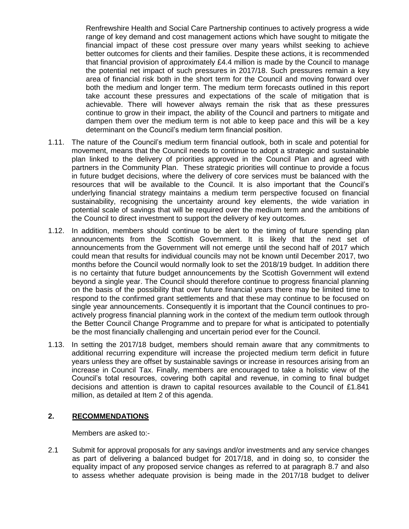Renfrewshire Health and Social Care Partnership continues to actively progress a wide range of key demand and cost management actions which have sought to mitigate the financial impact of these cost pressure over many years whilst seeking to achieve better outcomes for clients and their families. Despite these actions, it is recommended that financial provision of approximately £4.4 million is made by the Council to manage the potential net impact of such pressures in 2017/18. Such pressures remain a key area of financial risk both in the short term for the Council and moving forward over both the medium and longer term. The medium term forecasts outlined in this report take account these pressures and expectations of the scale of mitigation that is achievable. There will however always remain the risk that as these pressures continue to grow in their impact, the ability of the Council and partners to mitigate and dampen them over the medium term is not able to keep pace and this will be a key determinant on the Council's medium term financial position.

- 1.11. The nature of the Council's medium term financial outlook, both in scale and potential for movement, means that the Council needs to continue to adopt a strategic and sustainable plan linked to the delivery of priorities approved in the Council Plan and agreed with partners in the Community Plan. These strategic priorities will continue to provide a focus in future budget decisions, where the delivery of core services must be balanced with the resources that will be available to the Council. It is also important that the Council's underlying financial strategy maintains a medium term perspective focused on financial sustainability, recognising the uncertainty around key elements, the wide variation in potential scale of savings that will be required over the medium term and the ambitions of the Council to direct investment to support the delivery of key outcomes.
- 1.12. In addition, members should continue to be alert to the timing of future spending plan announcements from the Scottish Government. It is likely that the next set of announcements from the Government will not emerge until the second half of 2017 which could mean that results for individual councils may not be known until December 2017, two months before the Council would normally look to set the 2018/19 budget. In addition there is no certainty that future budget announcements by the Scottish Government will extend beyond a single year. The Council should therefore continue to progress financial planning on the basis of the possibility that over future financial years there may be limited time to respond to the confirmed grant settlements and that these may continue to be focused on single year announcements. Consequently it is important that the Council continues to proactively progress financial planning work in the context of the medium term outlook through the Better Council Change Programme and to prepare for what is anticipated to potentially be the most financially challenging and uncertain period ever for the Council.
- 1.13. In setting the 2017/18 budget, members should remain aware that any commitments to additional recurring expenditure will increase the projected medium term deficit in future years unless they are offset by sustainable savings or increase in resources arising from an increase in Council Tax. Finally, members are encouraged to take a holistic view of the Council's total resources, covering both capital and revenue, in coming to final budget decisions and attention is drawn to capital resources available to the Council of £1.841 million, as detailed at Item 2 of this agenda.

#### **2. RECOMMENDATIONS**

Members are asked to:-

2.1 Submit for approval proposals for any savings and/or investments and any service changes as part of delivering a balanced budget for 2017/18, and in doing so, to consider the equality impact of any proposed service changes as referred to at paragraph 8.7 and also to assess whether adequate provision is being made in the 2017/18 budget to deliver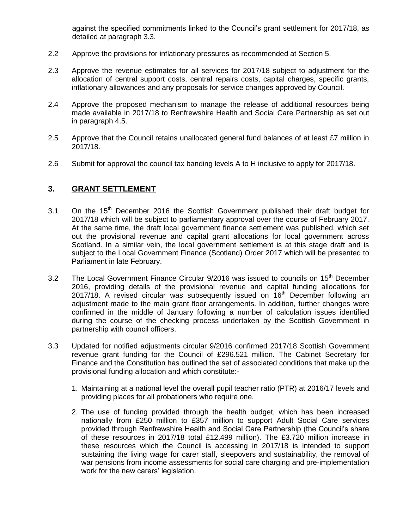against the specified commitments linked to the Council's grant settlement for 2017/18, as detailed at paragraph 3.3.

- 2.2 Approve the provisions for inflationary pressures as recommended at Section 5.
- 2.3 Approve the revenue estimates for all services for 2017/18 subject to adjustment for the allocation of central support costs, central repairs costs, capital charges, specific grants, inflationary allowances and any proposals for service changes approved by Council.
- 2.4 Approve the proposed mechanism to manage the release of additional resources being made available in 2017/18 to Renfrewshire Health and Social Care Partnership as set out in paragraph 4.5.
- 2.5 Approve that the Council retains unallocated general fund balances of at least £7 million in 2017/18.
- 2.6 Submit for approval the council tax banding levels A to H inclusive to apply for 2017/18.

#### **3. GRANT SETTLEMENT**

- 3.1 On the  $15<sup>th</sup>$  December 2016 the Scottish Government published their draft budget for 2017/18 which will be subject to parliamentary approval over the course of February 2017. At the same time, the draft local government finance settlement was published, which set out the provisional revenue and capital grant allocations for local government across Scotland. In a similar vein, the local government settlement is at this stage draft and is subject to the Local Government Finance (Scotland) Order 2017 which will be presented to Parliament in late February.
- 3.2 The Local Government Finance Circular 9/2016 was issued to councils on 15<sup>th</sup> December 2016, providing details of the provisional revenue and capital funding allocations for 2017/18. A revised circular was subsequently issued on  $16<sup>th</sup>$  December following an adjustment made to the main grant floor arrangements. In addition, further changes were confirmed in the middle of January following a number of calculation issues identified during the course of the checking process undertaken by the Scottish Government in partnership with council officers.
- 3.3 Updated for notified adjustments circular 9/2016 confirmed 2017/18 Scottish Government revenue grant funding for the Council of £296.521 million. The Cabinet Secretary for Finance and the Constitution has outlined the set of associated conditions that make up the provisional funding allocation and which constitute:-
	- 1. Maintaining at a national level the overall pupil teacher ratio (PTR) at 2016/17 levels and providing places for all probationers who require one.
	- 2. The use of funding provided through the health budget, which has been increased nationally from £250 million to £357 million to support Adult Social Care services provided through Renfrewshire Health and Social Care Partnership (the Council's share of these resources in 2017/18 total £12.499 million). The £3.720 million increase in these resources which the Council is accessing in 2017/18 is intended to support sustaining the living wage for carer staff, sleepovers and sustainability, the removal of war pensions from income assessments for social care charging and pre-implementation work for the new carers' legislation.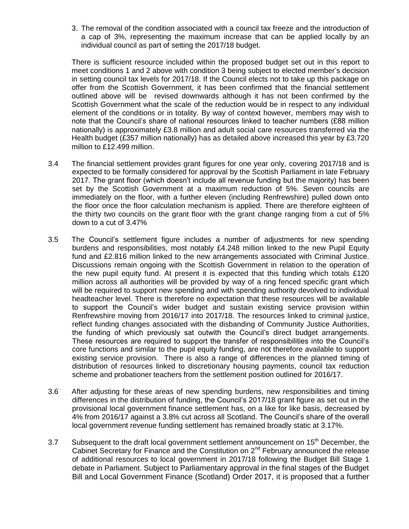3. The removal of the condition associated with a council tax freeze and the introduction of a cap of 3%, representing the maximum increase that can be applied locally by an individual council as part of setting the 2017/18 budget.

There is sufficient resource included within the proposed budget set out in this report to meet conditions 1 and 2 above with condition 3 being subject to elected member's decision in setting council tax levels for 2017/18. If the Council elects not to take up this package on offer from the Scottish Government, it has been confirmed that the financial settlement outlined above will be revised downwards although it has not been confirmed by the Scottish Government what the scale of the reduction would be in respect to any individual element of the conditions or in totality. By way of context however, members may wish to note that the Council's share of national resources linked to teacher numbers (£88 million nationally) is approximately £3.8 million and adult social care resources transferred via the Health budget (£357 million nationally) has as detailed above increased this year by £3.720 million to £12.499 million.

- 3.4 The financial settlement provides grant figures for one year only, covering 2017/18 and is expected to be formally considered for approval by the Scottish Parliament in late February 2017. The grant floor (which doesn't include all revenue funding but the majority) has been set by the Scottish Government at a maximum reduction of 5%. Seven councils are immediately on the floor, with a further eleven (including Renfrewshire) pulled down onto the floor once the floor calculation mechanism is applied. There are therefore eighteen of the thirty two councils on the grant floor with the grant change ranging from a cut of 5% down to a cut of 3.47%
- 3.5 The Council's settlement figure includes a number of adjustments for new spending burdens and responsibilities, most notably £4.248 million linked to the new Pupil Equity fund and £2.816 million linked to the new arrangements associated with Criminal Justice. Discussions remain ongoing with the Scottish Government in relation to the operation of the new pupil equity fund. At present it is expected that this funding which totals  $£120$ million across all authorities will be provided by way of a ring fenced specific grant which will be required to support new spending and with spending authority devolved to individual headteacher level. There is therefore no expectation that these resources will be available to support the Council's wider budget and sustain existing service provision within Renfrewshire moving from 2016/17 into 2017/18. The resources linked to criminal justice, reflect funding changes associated with the disbanding of Community Justice Authorities, the funding of which previously sat outwith the Council's direct budget arrangements. These resources are required to support the transfer of responsibilities into the Council's core functions and similar to the pupil equity funding, are not therefore available to support existing service provision. There is also a range of differences in the planned timing of distribution of resources linked to discretionary housing payments, council tax reduction scheme and probationer teachers from the settlement position outlined for 2016/17.
- 3.6 After adjusting for these areas of new spending burdens, new responsibilities and timing differences in the distribution of funding, the Council's 2017/18 grant figure as set out in the provisional local government finance settlement has, on a like for like basis, decreased by 4% from 2016/17 against a 3.8% cut across all Scotland. The Council's share of the overall local government revenue funding settlement has remained broadly static at 3.17%.
- 3.7 Subsequent to the draft local government settlement announcement on 15<sup>th</sup> December, the Cabinet Secretary for Finance and the Constitution on  $2^{nd}$  February announced the release of additional resources to local government in 2017/18 following the Budget Bill Stage 1 debate in Parliament. Subject to Parliamentary approval in the final stages of the Budget Bill and Local Government Finance (Scotland) Order 2017, it is proposed that a further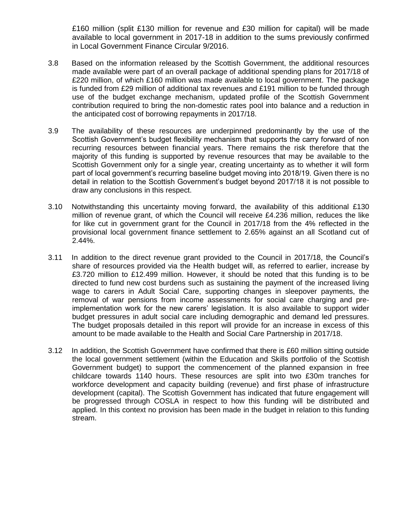£160 million (split £130 million for revenue and £30 million for capital) will be made available to local government in 2017-18 in addition to the sums previously confirmed in Local Government Finance Circular 9/2016.

- 3.8 Based on the information released by the Scottish Government, the additional resources made available were part of an overall package of additional spending plans for 2017/18 of £220 million, of which £160 million was made available to local government. The package is funded from £29 million of additional tax revenues and £191 million to be funded through use of the budget exchange mechanism, updated profile of the Scottish Government contribution required to bring the non-domestic rates pool into balance and a reduction in the anticipated cost of borrowing repayments in 2017/18.
- 3.9 The availability of these resources are underpinned predominantly by the use of the Scottish Government's budget flexibility mechanism that supports the carry forward of non recurring resources between financial years. There remains the risk therefore that the majority of this funding is supported by revenue resources that may be available to the Scottish Government only for a single year, creating uncertainty as to whether it will form part of local government's recurring baseline budget moving into 2018/19. Given there is no detail in relation to the Scottish Government's budget beyond 2017/18 it is not possible to draw any conclusions in this respect.
- 3.10 Notwithstanding this uncertainty moving forward, the availability of this additional £130 million of revenue grant, of which the Council will receive £4.236 million, reduces the like for like cut in government grant for the Council in 2017/18 from the 4% reflected in the provisional local government finance settlement to 2.65% against an all Scotland cut of 2.44%.
- 3.11 In addition to the direct revenue grant provided to the Council in 2017/18, the Council's share of resources provided via the Health budget will, as referred to earlier, increase by £3.720 million to £12.499 million. However, it should be noted that this funding is to be directed to fund new cost burdens such as sustaining the payment of the increased living wage to carers in Adult Social Care, supporting changes in sleepover payments, the removal of war pensions from income assessments for social care charging and preimplementation work for the new carers' legislation. It is also available to support wider budget pressures in adult social care including demographic and demand led pressures. The budget proposals detailed in this report will provide for an increase in excess of this amount to be made available to the Health and Social Care Partnership in 2017/18.
- 3.12 In addition, the Scottish Government have confirmed that there is £60 million sitting outside the local government settlement (within the Education and Skills portfolio of the Scottish Government budget) to support the commencement of the planned expansion in free childcare towards 1140 hours. These resources are split into two £30m tranches for workforce development and capacity building (revenue) and first phase of infrastructure development (capital). The Scottish Government has indicated that future engagement will be progressed through COSLA in respect to how this funding will be distributed and applied. In this context no provision has been made in the budget in relation to this funding stream.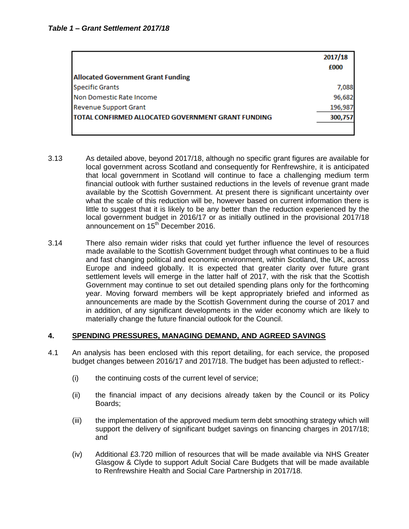|                                                    | 2017/18 |
|----------------------------------------------------|---------|
|                                                    | £000    |
| <b>Allocated Government Grant Funding</b>          |         |
| <b>Specific Grants</b>                             | 7,088   |
| Non Domestic Rate Income                           | 96,682  |
| <b>Revenue Support Grant</b>                       | 196,987 |
| TOTAL CONFIRMED ALLOCATED GOVERNMENT GRANT FUNDING | 300,757 |
|                                                    |         |

- 3.13 As detailed above, beyond 2017/18, although no specific grant figures are available for local government across Scotland and consequently for Renfrewshire, it is anticipated that local government in Scotland will continue to face a challenging medium term financial outlook with further sustained reductions in the levels of revenue grant made available by the Scottish Government. At present there is significant uncertainty over what the scale of this reduction will be, however based on current information there is little to suggest that it is likely to be any better than the reduction experienced by the local government budget in 2016/17 or as initially outlined in the provisional 2017/18 announcement on 15<sup>th</sup> December 2016.
- 3.14 There also remain wider risks that could yet further influence the level of resources made available to the Scottish Government budget through what continues to be a fluid and fast changing political and economic environment, within Scotland, the UK, across Europe and indeed globally. It is expected that greater clarity over future grant settlement levels will emerge in the latter half of 2017, with the risk that the Scottish Government may continue to set out detailed spending plans only for the forthcoming year. Moving forward members will be kept appropriately briefed and informed as announcements are made by the Scottish Government during the course of 2017 and in addition, of any significant developments in the wider economy which are likely to materially change the future financial outlook for the Council.

#### **4. SPENDING PRESSURES, MANAGING DEMAND, AND AGREED SAVINGS**

- 4.1 An analysis has been enclosed with this report detailing, for each service, the proposed budget changes between 2016/17 and 2017/18. The budget has been adjusted to reflect:-
	- (i) the continuing costs of the current level of service;
	- (ii) the financial impact of any decisions already taken by the Council or its Policy Boards;
	- (iii) the implementation of the approved medium term debt smoothing strategy which will support the delivery of significant budget savings on financing charges in 2017/18; and
	- (iv) Additional £3.720 million of resources that will be made available via NHS Greater Glasgow & Clyde to support Adult Social Care Budgets that will be made available to Renfrewshire Health and Social Care Partnership in 2017/18.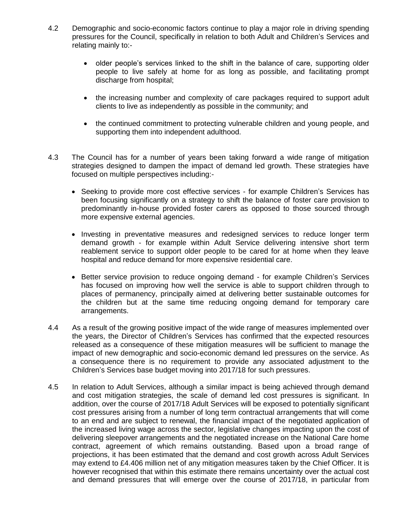- 4.2 Demographic and socio-economic factors continue to play a major role in driving spending pressures for the Council, specifically in relation to both Adult and Children's Services and relating mainly to:
	- older people's services linked to the shift in the balance of care, supporting older people to live safely at home for as long as possible, and facilitating prompt discharge from hospital;
	- the increasing number and complexity of care packages required to support adult clients to live as independently as possible in the community; and
	- the continued commitment to protecting vulnerable children and young people, and supporting them into independent adulthood.
- 4.3 The Council has for a number of years been taking forward a wide range of mitigation strategies designed to dampen the impact of demand led growth. These strategies have focused on multiple perspectives including:-
	- Seeking to provide more cost effective services for example Children's Services has been focusing significantly on a strategy to shift the balance of foster care provision to predominantly in-house provided foster carers as opposed to those sourced through more expensive external agencies.
	- Investing in preventative measures and redesigned services to reduce longer term demand growth - for example within Adult Service delivering intensive short term reablement service to support older people to be cared for at home when they leave hospital and reduce demand for more expensive residential care.
	- Better service provision to reduce ongoing demand for example Children's Services has focused on improving how well the service is able to support children through to places of permanency, principally aimed at delivering better sustainable outcomes for the children but at the same time reducing ongoing demand for temporary care arrangements.
- 4.4 As a result of the growing positive impact of the wide range of measures implemented over the years, the Director of Children's Services has confirmed that the expected resources released as a consequence of these mitigation measures will be sufficient to manage the impact of new demographic and socio-economic demand led pressures on the service. As a consequence there is no requirement to provide any associated adjustment to the Children's Services base budget moving into 2017/18 for such pressures.
- 4.5 In relation to Adult Services, although a similar impact is being achieved through demand and cost mitigation strategies, the scale of demand led cost pressures is significant. In addition, over the course of 2017/18 Adult Services will be exposed to potentially significant cost pressures arising from a number of long term contractual arrangements that will come to an end and are subject to renewal, the financial impact of the negotiated application of the increased living wage across the sector, legislative changes impacting upon the cost of delivering sleepover arrangements and the negotiated increase on the National Care home contract, agreement of which remains outstanding. Based upon a broad range of projections, it has been estimated that the demand and cost growth across Adult Services may extend to £4.406 million net of any mitigation measures taken by the Chief Officer. It is however recognised that within this estimate there remains uncertainty over the actual cost and demand pressures that will emerge over the course of 2017/18, in particular from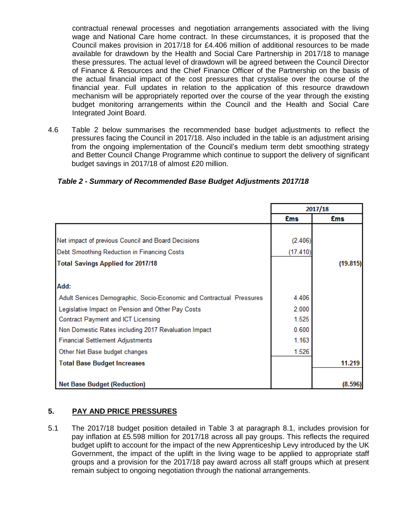contractual renewal processes and negotiation arrangements associated with the living wage and National Care home contract. In these circumstances, it is proposed that the Council makes provision in 2017/18 for £4.406 million of additional resources to be made available for drawdown by the Health and Social Care Partnership in 2017/18 to manage these pressures. The actual level of drawdown will be agreed between the Council Director of Finance & Resources and the Chief Finance Officer of the Partnership on the basis of the actual financial impact of the cost pressures that crystalise over the course of the financial year. Full updates in relation to the application of this resource drawdown mechanism will be appropriately reported over the course of the year through the existing budget monitoring arrangements within the Council and the Health and Social Care Integrated Joint Board.

4.6 Table 2 below summarises the recommended base budget adjustments to reflect the pressures facing the Council in 2017/18. Also included in the table is an adjustment arising from the ongoing implementation of the Council's medium term debt smoothing strategy and Better Council Change Programme which continue to support the delivery of significant budget savings in 2017/18 of almost £20 million.

#### *Table 2 - Summary of Recommended Base Budget Adjustments 2017/18*

|                                                                      | 2017/18  |          |
|----------------------------------------------------------------------|----------|----------|
|                                                                      | £ms      | £ms      |
|                                                                      |          |          |
| Net impact of previous Council and Board Decisions                   | (2.406)  |          |
| Debt Smoothing Reduction in Financing Costs                          | (17.410) |          |
| <b>Total Savings Applied for 2017/18</b>                             |          | (19.815) |
| Add:                                                                 |          |          |
| Adult Services Demographic, Socio-Economic and Contractual Pressures | 4.406    |          |
| Legislative Impact on Pension and Other Pay Costs                    | 2.000    |          |
| <b>Contract Payment and ICT Licensing</b>                            | 1.525    |          |
| Non Domestic Rates including 2017 Revaluation Impact                 | 0.600    |          |
| <b>Financial Settlement Adjustments</b>                              | 1.163    |          |
| Other Net Base budget changes                                        | 1.526    |          |
| <b>Total Base Budget Increases</b>                                   |          | 11.219   |
|                                                                      |          |          |
| <b>Net Base Budget (Reduction)</b>                                   |          | (8.596)  |

#### **5. PAY AND PRICE PRESSURES**

5.1 The 2017/18 budget position detailed in Table 3 at paragraph 8.1, includes provision for pay inflation at £5.598 million for 2017/18 across all pay groups. This reflects the required budget uplift to account for the impact of the new Apprenticeship Levy introduced by the UK Government, the impact of the uplift in the living wage to be applied to appropriate staff groups and a provision for the 2017/18 pay award across all staff groups which at present remain subject to ongoing negotiation through the national arrangements.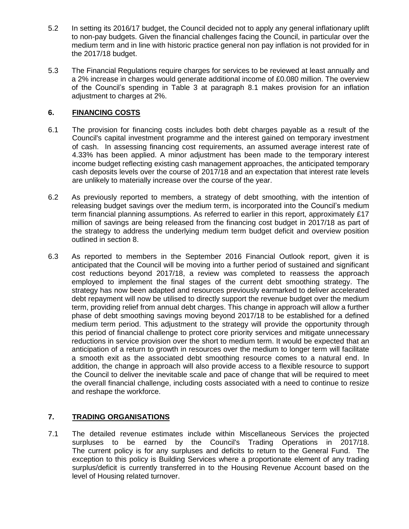- 5.2 In setting its 2016/17 budget, the Council decided not to apply any general inflationary uplift to non-pay budgets. Given the financial challenges facing the Council, in particular over the medium term and in line with historic practice general non pay inflation is not provided for in the 2017/18 budget.
- 5.3 The Financial Regulations require charges for services to be reviewed at least annually and a 2% increase in charges would generate additional income of £0.080 million. The overview of the Council's spending in Table 3 at paragraph 8.1 makes provision for an inflation adjustment to charges at 2%.

#### **6. FINANCING COSTS**

- 6.1 The provision for financing costs includes both debt charges payable as a result of the Council's capital investment programme and the interest gained on temporary investment of cash. In assessing financing cost requirements, an assumed average interest rate of 4.33% has been applied. A minor adjustment has been made to the temporary interest income budget reflecting existing cash management approaches, the anticipated temporary cash deposits levels over the course of 2017/18 and an expectation that interest rate levels are unlikely to materially increase over the course of the year.
- 6.2 As previously reported to members, a strategy of debt smoothing, with the intention of releasing budget savings over the medium term, is incorporated into the Council's medium term financial planning assumptions. As referred to earlier in this report, approximately £17 million of savings are being released from the financing cost budget in 2017/18 as part of the strategy to address the underlying medium term budget deficit and overview position outlined in section 8.
- 6.3 As reported to members in the September 2016 Financial Outlook report, given it is anticipated that the Council will be moving into a further period of sustained and significant cost reductions beyond 2017/18, a review was completed to reassess the approach employed to implement the final stages of the current debt smoothing strategy. The strategy has now been adapted and resources previously earmarked to deliver accelerated debt repayment will now be utilised to directly support the revenue budget over the medium term, providing relief from annual debt charges. This change in approach will allow a further phase of debt smoothing savings moving beyond 2017/18 to be established for a defined medium term period. This adjustment to the strategy will provide the opportunity through this period of financial challenge to protect core priority services and mitigate unnecessary reductions in service provision over the short to medium term. It would be expected that an anticipation of a return to growth in resources over the medium to longer term will facilitate a smooth exit as the associated debt smoothing resource comes to a natural end. In addition, the change in approach will also provide access to a flexible resource to support the Council to deliver the inevitable scale and pace of change that will be required to meet the overall financial challenge, including costs associated with a need to continue to resize and reshape the workforce.

#### **7. TRADING ORGANISATIONS**

7.1 The detailed revenue estimates include within Miscellaneous Services the projected surpluses to be earned by the Council's Trading Operations in 2017/18. The current policy is for any surpluses and deficits to return to the General Fund. The exception to this policy is Building Services where a proportionate element of any trading surplus/deficit is currently transferred in to the Housing Revenue Account based on the level of Housing related turnover.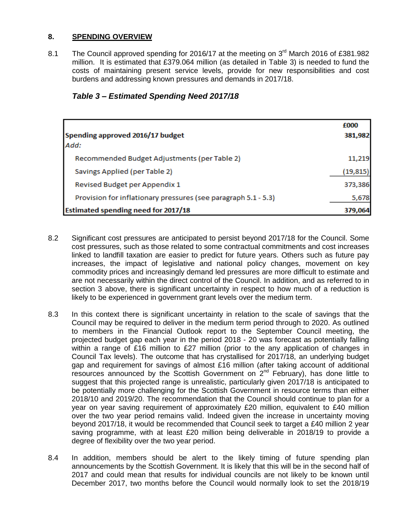#### **8. SPENDING OVERVIEW**

8.1 The Council approved spending for 2016/17 at the meeting on 3<sup>rd</sup> March 2016 of £381.982 million. It is estimated that £379.064 million (as detailed in Table 3) is needed to fund the costs of maintaining present service levels, provide for new responsibilities and cost burdens and addressing known pressures and demands in 2017/18.

| Spending approved 2016/17 budget                               | £000<br>381,982 |
|----------------------------------------------------------------|-----------------|
| Add:                                                           |                 |
| Recommended Budget Adjustments (per Table 2)                   | 11,219          |
| Savings Applied (per Table 2)                                  | (19, 815)       |
| Revised Budget per Appendix 1                                  | 373,386         |
| Provision for inflationary pressures (see paragraph 5.1 - 5.3) | 5,678           |
| <b>Estimated spending need for 2017/18</b>                     | 379,064         |

#### *Table 3 – Estimated Spending Need 2017/18*

- 8.2 Significant cost pressures are anticipated to persist beyond 2017/18 for the Council. Some cost pressures, such as those related to some contractual commitments and cost increases linked to landfill taxation are easier to predict for future years. Others such as future pay increases, the impact of legislative and national policy changes, movement on key commodity prices and increasingly demand led pressures are more difficult to estimate and are not necessarily within the direct control of the Council. In addition, and as referred to in section 3 above, there is significant uncertainty in respect to how much of a reduction is likely to be experienced in government grant levels over the medium term.
- 8.3 In this context there is significant uncertainty in relation to the scale of savings that the Council may be required to deliver in the medium term period through to 2020. As outlined to members in the Financial Outlook report to the September Council meeting, the projected budget gap each year in the period 2018 - 20 was forecast as potentially falling within a range of £16 million to £27 million (prior to the any application of changes in Council Tax levels). The outcome that has crystallised for 2017/18, an underlying budget gap and requirement for savings of almost £16 million (after taking account of additional resources announced by the Scottish Government on  $2^{nd}$  February), has done little to suggest that this projected range is unrealistic, particularly given 2017/18 is anticipated to be potentially more challenging for the Scottish Government in resource terms than either 2018/10 and 2019/20. The recommendation that the Council should continue to plan for a year on year saving requirement of approximately £20 million, equivalent to £40 million over the two year period remains valid. Indeed given the increase in uncertainty moving beyond 2017/18, it would be recommended that Council seek to target a £40 million 2 year saving programme, with at least £20 million being deliverable in 2018/19 to provide a degree of flexibility over the two year period.
- 8.4 In addition, members should be alert to the likely timing of future spending plan announcements by the Scottish Government. It is likely that this will be in the second half of 2017 and could mean that results for individual councils are not likely to be known until December 2017, two months before the Council would normally look to set the 2018/19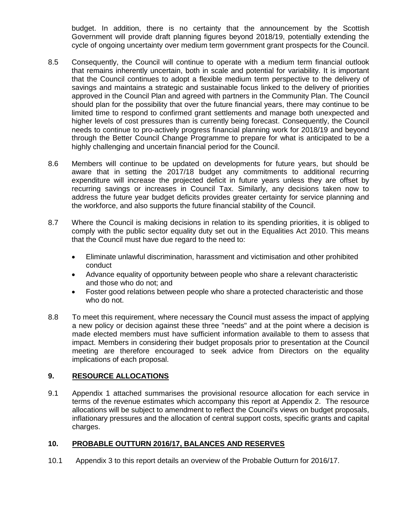budget. In addition, there is no certainty that the announcement by the Scottish Government will provide draft planning figures beyond 2018/19, potentially extending the cycle of ongoing uncertainty over medium term government grant prospects for the Council.

- 8.5 Consequently, the Council will continue to operate with a medium term financial outlook that remains inherently uncertain, both in scale and potential for variability. It is important that the Council continues to adopt a flexible medium term perspective to the delivery of savings and maintains a strategic and sustainable focus linked to the delivery of priorities approved in the Council Plan and agreed with partners in the Community Plan. The Council should plan for the possibility that over the future financial years, there may continue to be limited time to respond to confirmed grant settlements and manage both unexpected and higher levels of cost pressures than is currently being forecast. Consequently, the Council needs to continue to pro-actively progress financial planning work for 2018/19 and beyond through the Better Council Change Programme to prepare for what is anticipated to be a highly challenging and uncertain financial period for the Council.
- 8.6 Members will continue to be updated on developments for future years, but should be aware that in setting the 2017/18 budget any commitments to additional recurring expenditure will increase the projected deficit in future years unless they are offset by recurring savings or increases in Council Tax. Similarly, any decisions taken now to address the future year budget deficits provides greater certainty for service planning and the workforce, and also supports the future financial stability of the Council.
- 8.7 Where the Council is making decisions in relation to its spending priorities, it is obliged to comply with the public sector equality duty set out in the Equalities Act 2010. This means that the Council must have due regard to the need to:
	- Eliminate unlawful discrimination, harassment and victimisation and other prohibited conduct
	- Advance equality of opportunity between people who share a relevant characteristic and those who do not; and
	- Foster good relations between people who share a protected characteristic and those who do not.
- 8.8 To meet this requirement, where necessary the Council must assess the impact of applying a new policy or decision against these three "needs" and at the point where a decision is made elected members must have sufficient information available to them to assess that impact. Members in considering their budget proposals prior to presentation at the Council meeting are therefore encouraged to seek advice from Directors on the equality implications of each proposal.

#### **9. RESOURCE ALLOCATIONS**

9.1 Appendix 1 attached summarises the provisional resource allocation for each service in terms of the revenue estimates which accompany this report at Appendix 2. The resource allocations will be subject to amendment to reflect the Council's views on budget proposals, inflationary pressures and the allocation of central support costs, specific grants and capital charges.

#### **10. PROBABLE OUTTURN 2016/17, BALANCES AND RESERVES**

10.1 Appendix 3 to this report details an overview of the Probable Outturn for 2016/17.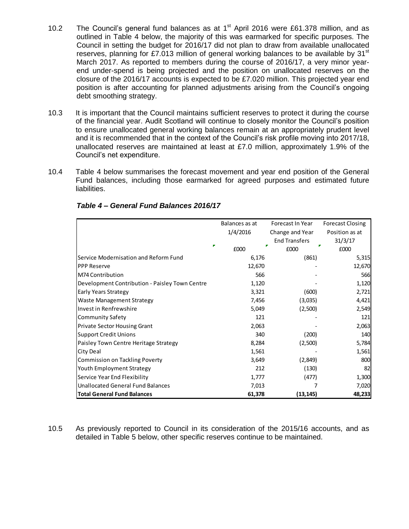- 10.2 The Council's general fund balances as at  $1<sup>st</sup>$  April 2016 were £61.378 million, and as outlined in Table 4 below, the majority of this was earmarked for specific purposes. The Council in setting the budget for 2016/17 did not plan to draw from available unallocated reserves, planning for £7.013 million of general working balances to be available by  $31<sup>st</sup>$ March 2017. As reported to members during the course of 2016/17, a very minor yearend under-spend is being projected and the position on unallocated reserves on the closure of the 2016/17 accounts is expected to be £7.020 million. This projected year end position is after accounting for planned adjustments arising from the Council's ongoing debt smoothing strategy.
- 10.3 It is important that the Council maintains sufficient reserves to protect it during the course of the financial year. Audit Scotland will continue to closely monitor the Council's position to ensure unallocated general working balances remain at an appropriately prudent level and it is recommended that in the context of the Council's risk profile moving into 2017/18, unallocated reserves are maintained at least at £7.0 million, approximately 1.9% of the Council's net expenditure.
- 10.4 Table 4 below summarises the forecast movement and year end position of the General Fund balances, including those earmarked for agreed purposes and estimated future liabilities.

|                                                | Balances as at | Forecast In Year     | <b>Forecast Closing</b> |
|------------------------------------------------|----------------|----------------------|-------------------------|
|                                                | 1/4/2016       | Change and Year      | Position as at          |
|                                                |                | <b>End Transfers</b> | 31/3/17                 |
|                                                | £000           | £000                 | £000                    |
| Service Modernisation and Reform Fund          | 6,176          | (861)                | 5,315                   |
| <b>PPP Reserve</b>                             | 12,670         |                      | 12,670                  |
| M74 Contribution                               | 566            |                      | 566                     |
| Development Contribution - Paisley Town Centre | 1,120          |                      | 1,120                   |
| Early Years Strategy                           | 3,321          | (600)                | 2,721                   |
| <b>Waste Management Strategy</b>               | 7,456          | (3,035)              | 4,421                   |
| Invest in Renfrewshire                         | 5,049          | (2,500)              | 2,549                   |
| <b>Community Safety</b>                        | 121            |                      | 121                     |
| <b>Private Sector Housing Grant</b>            | 2,063          |                      | 2,063                   |
| <b>Support Credit Unions</b>                   | 340            | (200)                | 140                     |
| Paisley Town Centre Heritage Strategy          | 8,284          | (2,500)              | 5,784                   |
| City Deal                                      | 1,561          |                      | 1,561                   |
| <b>Commission on Tackling Poverty</b>          | 3,649          | (2,849)              | 800                     |
| <b>Youth Employment Strategy</b>               | 212            | (130)                | 82                      |
| Service Year End Flexibility                   | 1,777          | (477)                | 1,300                   |
| <b>Unallocated General Fund Balances</b>       | 7,013          |                      | 7,020                   |
| <b>Total General Fund Balances</b>             | 61,378         | (13,145)             | 48,233                  |

#### *Table 4 – General Fund Balances 2016/17*

10.5 As previously reported to Council in its consideration of the 2015/16 accounts, and as detailed in Table 5 below, other specific reserves continue to be maintained.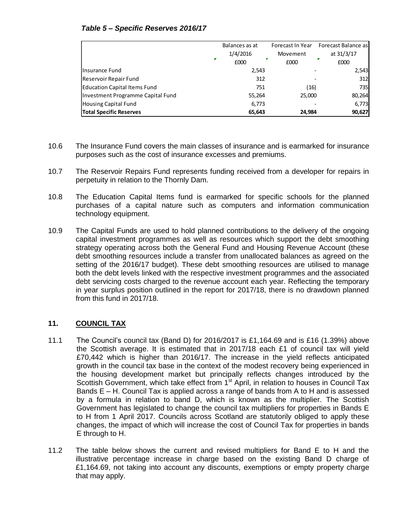|                                     | P | Balances as at<br>1/4/2016<br>£000 | Forecast In Year<br>Movement<br>£000 | Forecast Balance as<br>at 31/3/17<br>£000 |
|-------------------------------------|---|------------------------------------|--------------------------------------|-------------------------------------------|
| Insurance Fund                      |   | 2,543                              |                                      | 2,543                                     |
| Reservoir Repair Fund               |   | 312                                |                                      | 312                                       |
| <b>Education Capital Items Fund</b> |   | 751                                | (16)                                 | 735                                       |
| Investment Programme Capital Fund   |   | 55,264                             | 25,000                               | 80,264                                    |
| Housing Capital Fund                |   | 6,773                              |                                      | 6,773                                     |
| <b>Total Specific Reserves</b>      |   | 65,643                             | 24,984                               | 90,627                                    |

#### *Table 5 – Specific Reserves 2016/17*

- 10.6 The Insurance Fund covers the main classes of insurance and is earmarked for insurance purposes such as the cost of insurance excesses and premiums.
- 10.7 The Reservoir Repairs Fund represents funding received from a developer for repairs in perpetuity in relation to the Thornly Dam.
- 10.8 The Education Capital Items fund is earmarked for specific schools for the planned purchases of a capital nature such as computers and information communication technology equipment.
- 10.9 The Capital Funds are used to hold planned contributions to the delivery of the ongoing capital investment programmes as well as resources which support the debt smoothing strategy operating across both the General Fund and Housing Revenue Account (these debt smoothing resources include a transfer from unallocated balances as agreed on the setting of the 2016/17 budget). These debt smoothing resources are utilised to manage both the debt levels linked with the respective investment programmes and the associated debt servicing costs charged to the revenue account each year. Reflecting the temporary in year surplus position outlined in the report for 2017/18, there is no drawdown planned from this fund in 2017/18.

#### **11. COUNCIL TAX**

- 11.1 The Council's council tax (Band D) for 2016/2017 is £1,164.69 and is £16 (1.39%) above the Scottish average. It is estimated that in 2017/18 each £1 of council tax will yield £70,442 which is higher than 2016/17. The increase in the yield reflects anticipated growth in the council tax base in the context of the modest recovery being experienced in the housing development market but principally reflects changes introduced by the Scottish Government, which take effect from 1<sup>st</sup> April, in relation to houses in Council Tax Bands E – H. Council Tax is applied across a range of bands from A to H and is assessed by a formula in relation to band D, which is known as the multiplier. The Scottish Government has legislated to change the council tax multipliers for properties in Bands E to H from 1 April 2017. Councils across Scotland are statutorily obliged to apply these changes, the impact of which will increase the cost of Council Tax for properties in bands E through to H.
- 11.2 The table below shows the current and revised multipliers for Band E to H and the illustrative percentage increase in charge based on the existing Band D charge of £1,164.69, not taking into account any discounts, exemptions or empty property charge that may apply.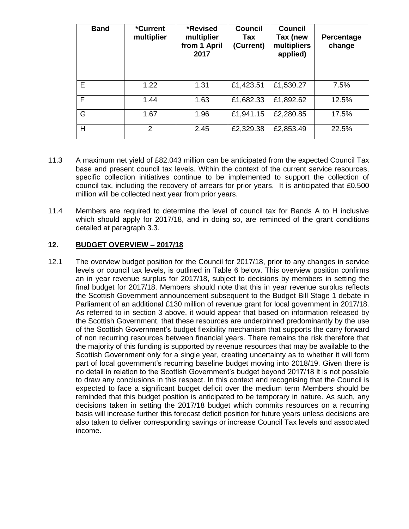| <b>Band</b> | <i>*</i> Current<br>multiplier | *Revised<br>multiplier<br>from 1 April<br>2017 | <b>Council</b><br>Tax<br>(Current) | <b>Council</b><br>Tax (new<br>multipliers<br>applied) | Percentage<br>change |
|-------------|--------------------------------|------------------------------------------------|------------------------------------|-------------------------------------------------------|----------------------|
| E           | 1.22                           | 1.31                                           | £1,423.51                          | £1,530.27                                             | 7.5%                 |
| F           | 1.44                           | 1.63                                           | £1,682.33                          | £1,892.62                                             | 12.5%                |
| G           | 1.67                           | 1.96                                           | £1,941.15                          | £2,280.85                                             | 17.5%                |
| H           | $\overline{2}$                 | 2.45                                           | £2,329.38                          | £2,853.49                                             | 22.5%                |

- 11.3 A maximum net yield of £82.043 million can be anticipated from the expected Council Tax base and present council tax levels. Within the context of the current service resources, specific collection initiatives continue to be implemented to support the collection of council tax, including the recovery of arrears for prior years. It is anticipated that £0.500 million will be collected next year from prior years.
- 11.4 Members are required to determine the level of council tax for Bands A to H inclusive which should apply for 2017/18, and in doing so, are reminded of the grant conditions detailed at paragraph 3.3.

#### **12. BUDGET OVERVIEW – 2017/18**

12.1 The overview budget position for the Council for 2017/18, prior to any changes in service levels or council tax levels, is outlined in Table 6 below. This overview position confirms an in year revenue surplus for 2017/18, subject to decisions by members in setting the final budget for 2017/18. Members should note that this in year revenue surplus reflects the Scottish Government announcement subsequent to the Budget Bill Stage 1 debate in Parliament of an additional £130 million of revenue grant for local government in 2017/18. As referred to in section 3 above, it would appear that based on information released by the Scottish Government, that these resources are underpinned predominantly by the use of the Scottish Government's budget flexibility mechanism that supports the carry forward of non recurring resources between financial years. There remains the risk therefore that the majority of this funding is supported by revenue resources that may be available to the Scottish Government only for a single year, creating uncertainty as to whether it will form part of local government's recurring baseline budget moving into 2018/19. Given there is no detail in relation to the Scottish Government's budget beyond 2017/18 it is not possible to draw any conclusions in this respect. In this context and recognising that the Council is expected to face a significant budget deficit over the medium term Members should be reminded that this budget position is anticipated to be temporary in nature. As such, any decisions taken in setting the 2017/18 budget which commits resources on a recurring basis will increase further this forecast deficit position for future years unless decisions are also taken to deliver corresponding savings or increase Council Tax levels and associated income.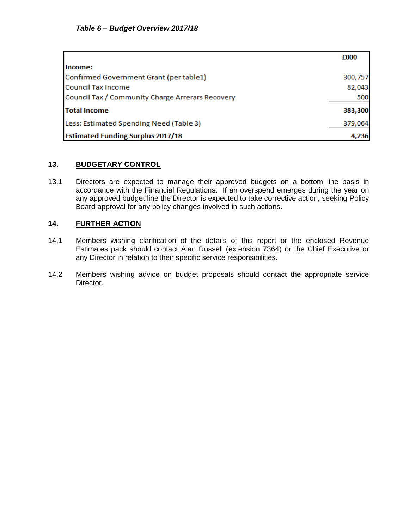|                                                  | £000    |
|--------------------------------------------------|---------|
| Income:                                          |         |
| Confirmed Government Grant (per table1)          | 300,757 |
| <b>Council Tax Income</b>                        | 82,043  |
| Council Tax / Community Charge Arrerars Recovery | 500     |
| <b>Total Income</b>                              | 383,300 |
| Less: Estimated Spending Need (Table 3)          | 379,064 |
| <b>Estimated Funding Surplus 2017/18</b>         | 4,236   |

#### **13. BUDGETARY CONTROL**

13.1 Directors are expected to manage their approved budgets on a bottom line basis in accordance with the Financial Regulations. If an overspend emerges during the year on any approved budget line the Director is expected to take corrective action, seeking Policy Board approval for any policy changes involved in such actions.

#### **14. FURTHER ACTION**

- 14.1 Members wishing clarification of the details of this report or the enclosed Revenue Estimates pack should contact Alan Russell (extension 7364) or the Chief Executive or any Director in relation to their specific service responsibilities.
- 14.2 Members wishing advice on budget proposals should contact the appropriate service Director.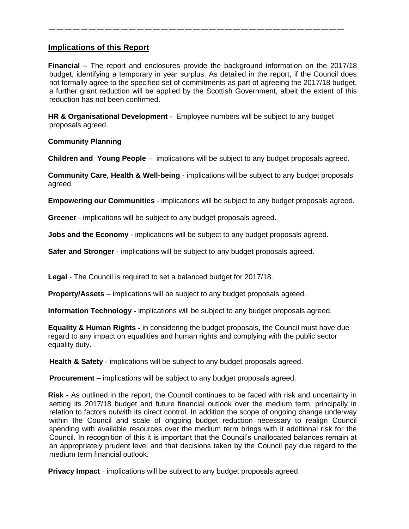#### **Implications of this Report**

**Financial** – The report and enclosures provide the background information on the 2017/18 budget, identifying a temporary in year surplus. As detailed in the report, if the Council does not formally agree to the specified set of commitments as part of agreeing the 2017/18 budget, a further grant reduction will be applied by the Scottish Government, albeit the extent of this reduction has not been confirmed.

—————————————————————————————————————

**HR & Organisational Development** - Employee numbers will be subject to any budget proposals agreed.

**Community Planning**

**Children and Young People** – implications will be subject to any budget proposals agreed.

**Community Care, Health & Well-being** - implications will be subject to any budget proposals agreed.

**Empowering our Communities** - implications will be subject to any budget proposals agreed.

**Greener** - implications will be subject to any budget proposals agreed.

**Jobs and the Economy** - implications will be subject to any budget proposals agreed.

**Safer and Stronger** - implications will be subject to any budget proposals agreed.

**Legal** *-* The Council is required to set a balanced budget for 2017/18.

**Property/Assets** – implications will be subject to any budget proposals agreed.

**Information Technology -** implications will be subject to any budget proposals agreed.

**Equality & Human Rights -** in considering the budget proposals, the Council must have due regard to any impact on equalities and human rights and complying with the public sector equality duty.

**Health & Safety -** implications will be subject to any budget proposals agreed.

**Procurement –** implications will be subject to any budget proposals agreed.

**Risk -** As outlined in the report, the Council continues to be faced with risk and uncertainty in setting its 2017/18 budget and future financial outlook over the medium term, principally in relation to factors outwith its direct control. In addition the scope of ongoing change underway within the Council and scale of ongoing budget reduction necessary to realign Council spending with available resources over the medium term brings with it additional risk for the Council. In recognition of this it is important that the Council's unallocated balances remain at an appropriately prudent level and that decisions taken by the Council pay due regard to the medium term financial outlook.

**Privacy Impact** *-* implications will be subject to any budget proposals agreed.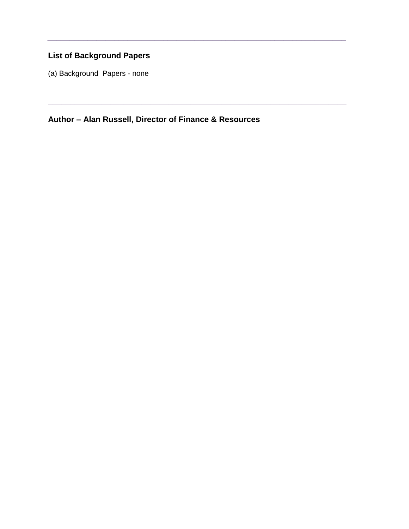# **List of Background Papers**

(a) Background Papers - none

**Author – Alan Russell, Director of Finance & Resources**

*\_\_\_\_\_\_\_\_\_\_\_\_\_\_\_\_\_\_\_\_\_\_\_\_\_\_\_\_\_\_\_\_\_\_\_\_\_\_\_\_\_\_\_\_\_\_\_\_\_\_\_\_\_\_\_\_\_\_\_\_\_\_\_\_\_\_\_*

**\_\_\_\_\_\_\_\_\_\_\_\_\_\_\_\_\_\_\_\_\_\_\_\_\_\_\_\_\_\_\_\_\_\_\_\_\_\_\_\_\_\_\_\_\_\_\_\_\_\_\_\_\_\_\_\_\_\_\_\_\_\_\_\_\_\_\_**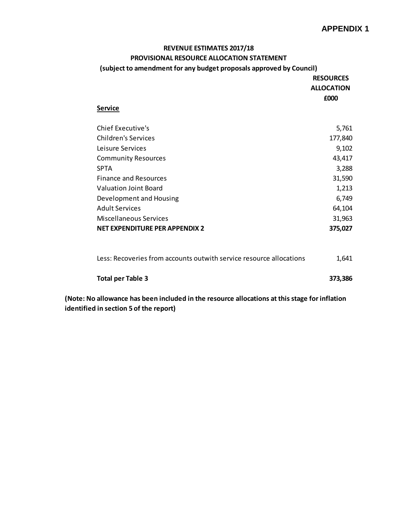#### **REVENUE ESTIMATES 2017/18 PROVISIONAL RESOURCE ALLOCATION STATEMENT (subject to amendment for any budget proposals approved by Council)**

|                                                                     | <b>RESOURCES</b>  |
|---------------------------------------------------------------------|-------------------|
|                                                                     | <b>ALLOCATION</b> |
|                                                                     | £000              |
| Service                                                             |                   |
|                                                                     |                   |
| <b>Chief Executive's</b>                                            | 5,761             |
| <b>Children's Services</b>                                          | 177,840           |
| Leisure Services                                                    | 9,102             |
| <b>Community Resources</b>                                          | 43,417            |
| <b>SPTA</b>                                                         | 3,288             |
| <b>Finance and Resources</b>                                        | 31,590            |
| <b>Valuation Joint Board</b>                                        | 1,213             |
| Development and Housing                                             | 6,749             |
| <b>Adult Services</b>                                               | 64,104            |
| <b>Miscellaneous Services</b>                                       | 31,963            |
| NET EXPENDITURE PER APPENDIX 2                                      | 375,027           |
|                                                                     |                   |
| Less: Recoveries from accounts outwith service resource allocations | 1,641             |
| <b>Total per Table 3</b>                                            | 373,386           |

**(Note: No allowance has been included in the resource allocations at this stage for inflation identified in section 5 of the report)**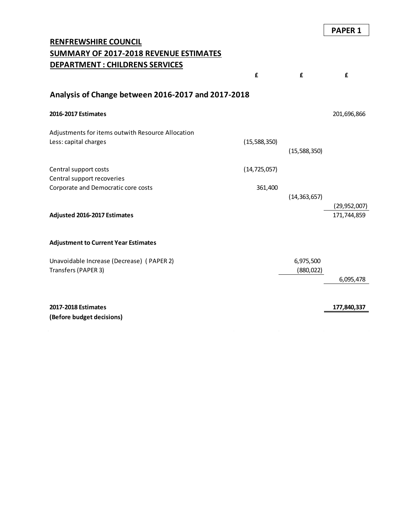|                                                    |                |                | <b>PAPER 1</b>                |
|----------------------------------------------------|----------------|----------------|-------------------------------|
| <b>RENFREWSHIRE COUNCIL</b>                        |                |                |                               |
| <b>SUMMARY OF 2017-2018 REVENUE ESTIMATES</b>      |                |                |                               |
| <b>DEPARTMENT: CHILDRENS SERVICES</b>              |                |                |                               |
|                                                    | £              | £              | £                             |
| Analysis of Change between 2016-2017 and 2017-2018 |                |                |                               |
| 2016-2017 Estimates                                |                |                | 201,696,866                   |
| Adjustments for items outwith Resource Allocation  |                |                |                               |
| Less: capital charges                              | (15,588,350)   |                |                               |
|                                                    |                | (15,588,350)   |                               |
| Central support costs                              | (14, 725, 057) |                |                               |
| Central support recoveries                         |                |                |                               |
| Corporate and Democratic core costs                | 361,400        |                |                               |
|                                                    |                | (14, 363, 657) |                               |
| Adjusted 2016-2017 Estimates                       |                |                | (29, 952, 007)<br>171,744,859 |
|                                                    |                |                |                               |
| <b>Adjustment to Current Year Estimates</b>        |                |                |                               |
| Unavoidable Increase (Decrease) (PAPER 2)          |                | 6,975,500      |                               |
| Transfers (PAPER 3)                                |                | (880, 022)     |                               |
|                                                    |                |                | 6,095,478                     |
|                                                    |                |                |                               |

**2017-2018 Estimates 177,840,337 (Before budget decisions)**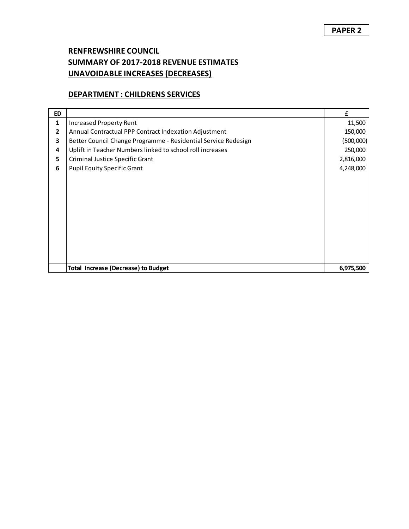#### **DEPARTMENT : CHILDRENS SERVICES**

| <b>ED</b> |                                                                | £         |
|-----------|----------------------------------------------------------------|-----------|
| 1         | Increased Property Rent                                        | 11,500    |
| 2         | Annual Contractual PPP Contract Indexation Adjustment          | 150,000   |
| 3         | Better Council Change Programme - Residential Service Redesign | (500,000) |
| 4         | Uplift in Teacher Numbers linked to school roll increases      | 250,000   |
| 5         | Criminal Justice Specific Grant                                | 2,816,000 |
| 6         | <b>Pupil Equity Specific Grant</b>                             | 4,248,000 |
|           |                                                                |           |
|           | <b>Total Increase (Decrease) to Budget</b>                     | 6,975,500 |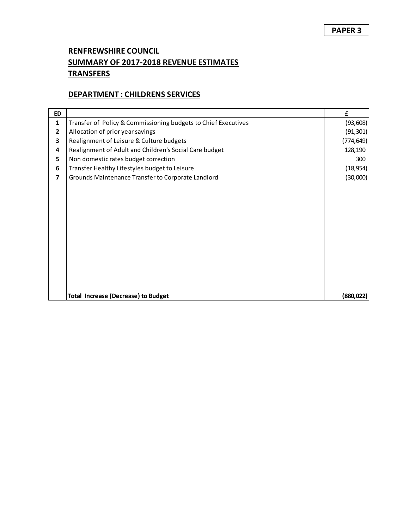## **DEPARTMENT : CHILDRENS SERVICES**

| <b>ED</b> |                                                                | f          |
|-----------|----------------------------------------------------------------|------------|
| 1         | Transfer of Policy & Commissioning budgets to Chief Executives | (93, 608)  |
| 2         | Allocation of prior year savings                               | (91, 301)  |
| 3         | Realignment of Leisure & Culture budgets                       | (774, 649) |
| 4         | Realignment of Adult and Children's Social Care budget         | 128,190    |
| 5         | Non domestic rates budget correction                           | 300        |
| 6         | Transfer Healthy Lifestyles budget to Leisure                  | (18, 954)  |
| 7         | Grounds Maintenance Transfer to Corporate Landlord             | (30,000)   |
|           |                                                                |            |
|           | <b>Total Increase (Decrease) to Budget</b>                     | (880, 022) |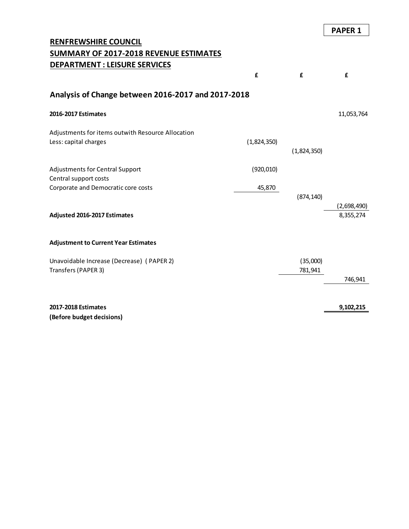|                                                    |             |             | <b>PAPER 1</b>           |
|----------------------------------------------------|-------------|-------------|--------------------------|
| <b>RENFREWSHIRE COUNCIL</b>                        |             |             |                          |
| <b>SUMMARY OF 2017-2018 REVENUE ESTIMATES</b>      |             |             |                          |
| <b>DEPARTMENT : LEISURE SERVICES</b>               |             |             |                          |
|                                                    | £           | £           | £                        |
| Analysis of Change between 2016-2017 and 2017-2018 |             |             |                          |
| 2016-2017 Estimates                                |             |             | 11,053,764               |
| Adjustments for items outwith Resource Allocation  |             |             |                          |
| Less: capital charges                              | (1,824,350) | (1,824,350) |                          |
|                                                    |             |             |                          |
| Adjustments for Central Support                    | (920, 010)  |             |                          |
| Central support costs                              |             |             |                          |
| Corporate and Democratic core costs                | 45,870      |             |                          |
|                                                    |             | (874, 140)  |                          |
| Adjusted 2016-2017 Estimates                       |             |             | (2,698,490)<br>8,355,274 |
|                                                    |             |             |                          |
| <b>Adjustment to Current Year Estimates</b>        |             |             |                          |
| Unavoidable Increase (Decrease) (PAPER 2)          |             | (35,000)    |                          |
| Transfers (PAPER 3)                                |             | 781,941     |                          |
|                                                    |             |             | 746,941                  |
| 2017-2018 Estimates                                |             |             |                          |
|                                                    |             |             | 9,102,215                |

**(Before budget decisions)**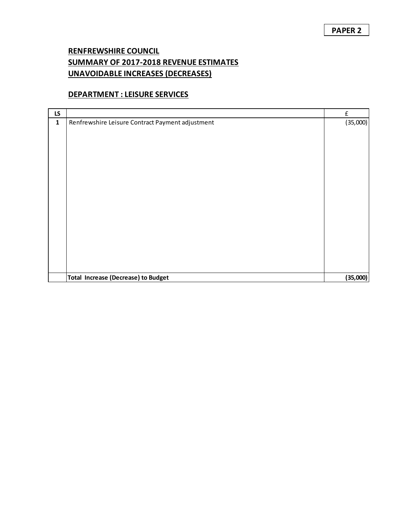#### **DEPARTMENT : LEISURE SERVICES**

| LS           |                                                  | $\pmb{\mathsf{f}}$ |
|--------------|--------------------------------------------------|--------------------|
| $\mathbf{1}$ | Renfrewshire Leisure Contract Payment adjustment | (35,000)           |
|              |                                                  |                    |
|              |                                                  |                    |
|              |                                                  |                    |
|              |                                                  |                    |
|              |                                                  |                    |
|              |                                                  |                    |
|              |                                                  |                    |
|              |                                                  |                    |
|              |                                                  |                    |
|              |                                                  |                    |
|              |                                                  |                    |
|              |                                                  |                    |
|              |                                                  |                    |
|              |                                                  |                    |
|              | <b>Total Increase (Decrease) to Budget</b>       | (35,000)           |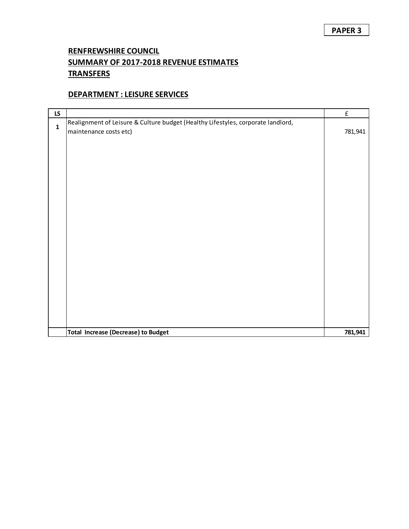#### **DEPARTMENT : LEISURE SERVICES**

| LS           |                                                                                  | $\mathbf f$ |
|--------------|----------------------------------------------------------------------------------|-------------|
| $\mathbf{1}$ | Realignment of Leisure & Culture budget (Healthy Lifestyles, corporate landlord, |             |
|              | maintenance costs etc)                                                           | 781,941     |
|              |                                                                                  |             |
|              |                                                                                  |             |
|              |                                                                                  |             |
|              |                                                                                  |             |
|              |                                                                                  |             |
|              |                                                                                  |             |
|              |                                                                                  |             |
|              |                                                                                  |             |
|              |                                                                                  |             |
|              |                                                                                  |             |
|              |                                                                                  |             |
|              |                                                                                  |             |
|              |                                                                                  |             |
|              |                                                                                  |             |
|              |                                                                                  |             |
|              |                                                                                  |             |
|              |                                                                                  |             |
|              |                                                                                  |             |
|              |                                                                                  |             |
|              |                                                                                  |             |
|              | <b>Total Increase (Decrease) to Budget</b>                                       | 781,941     |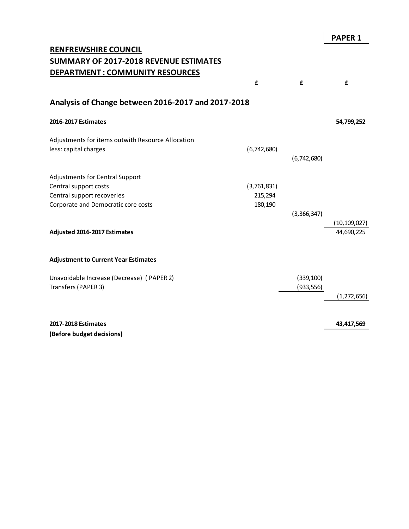|                                                    |             |             | <b>PAPER 1</b> |
|----------------------------------------------------|-------------|-------------|----------------|
| <b>RENFREWSHIRE COUNCIL</b>                        |             |             |                |
| SUMMARY OF 2017-2018 REVENUE ESTIMATES             |             |             |                |
| <b>DEPARTMENT: COMMUNITY RESOURCES</b>             |             |             |                |
|                                                    | £           | £           | £              |
| Analysis of Change between 2016-2017 and 2017-2018 |             |             |                |
| 2016-2017 Estimates                                |             |             | 54,799,252     |
| Adjustments for items outwith Resource Allocation  |             |             |                |
| less: capital charges                              | (6,742,680) |             |                |
|                                                    |             | (6,742,680) |                |
| Adjustments for Central Support                    |             |             |                |
| Central support costs                              | (3,761,831) |             |                |
| Central support recoveries                         | 215,294     |             |                |
| Corporate and Democratic core costs                | 180,190     |             |                |
|                                                    |             | (3,366,347) |                |
|                                                    |             |             | (10, 109, 027) |
| Adjusted 2016-2017 Estimates                       |             |             | 44,690,225     |
| <b>Adjustment to Current Year Estimates</b>        |             |             |                |
| Unavoidable Increase (Decrease) (PAPER 2)          |             | (339, 100)  |                |
| Transfers (PAPER 3)                                |             | (933, 556)  |                |
|                                                    |             |             | (1, 272, 656)  |
| 2017-2018 Estimates                                |             |             | 43,417,569     |
| (Before budget decisions)                          |             |             |                |
|                                                    |             |             |                |

 $\overline{\phantom{a}}$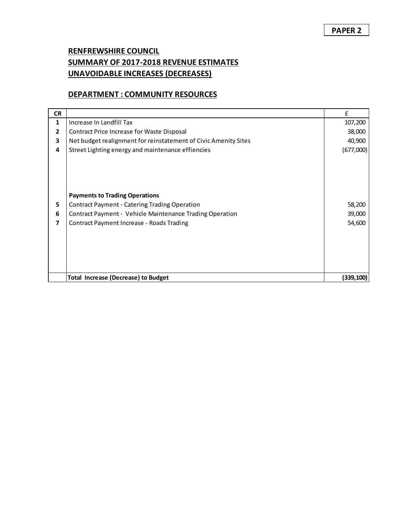#### **DEPARTMENT : COMMUNITY RESOURCES**

| <b>CR</b>   |                                                                                                                                                                                                        | £                          |
|-------------|--------------------------------------------------------------------------------------------------------------------------------------------------------------------------------------------------------|----------------------------|
| 1           | Increase In Landfill Tax                                                                                                                                                                               | 107,200                    |
| 2           | Contract Price Increase for Waste Disposal                                                                                                                                                             | 38,000                     |
| 3           | Net budget realignment for reinstatement of Civic Amenity Sites                                                                                                                                        | 40,900                     |
| 4           | Street Lighting energy and maintenance effiencies                                                                                                                                                      | (677,000)                  |
| 5<br>6<br>7 | <b>Payments to Trading Operations</b><br><b>Contract Payment - Catering Trading Operation</b><br>Contract Payment - Vehicle Maintenance Trading Operation<br>Contract Payment Increase - Roads Trading | 58,200<br>39,000<br>54,600 |
|             | <b>Total Increase (Decrease) to Budget</b>                                                                                                                                                             | (339,100)                  |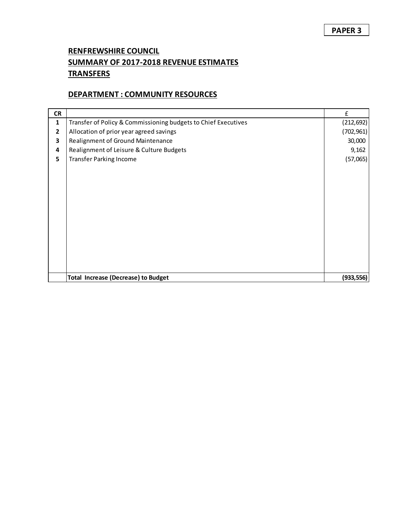## **DEPARTMENT : COMMUNITY RESOURCES**

| <b>CR</b> |                                                                | £          |
|-----------|----------------------------------------------------------------|------------|
| 1         | Transfer of Policy & Commissioning budgets to Chief Executives | (212, 692) |
| 2         | Allocation of prior year agreed savings                        | (702, 961) |
| 3         | Realignment of Ground Maintenance                              | 30,000     |
| 4         | Realignment of Leisure & Culture Budgets                       | 9,162      |
| 5         | <b>Transfer Parking Income</b>                                 | (57,065)   |
|           |                                                                |            |
|           |                                                                |            |
|           |                                                                |            |
|           | <b>Total Increase (Decrease) to Budget</b>                     | (933,556)  |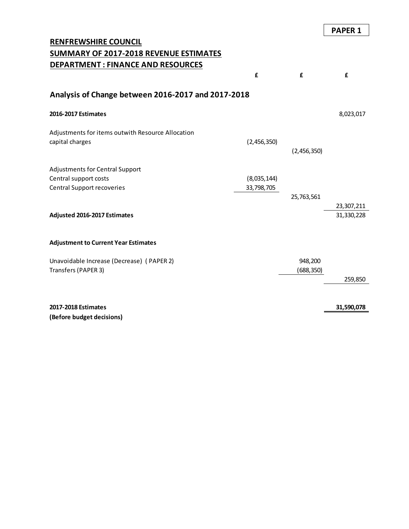|                                                    |             |             | <b>PAPER 1</b> |
|----------------------------------------------------|-------------|-------------|----------------|
| <b>RENFREWSHIRE COUNCIL</b>                        |             |             |                |
| <b>SUMMARY OF 2017-2018 REVENUE ESTIMATES</b>      |             |             |                |
| <b>DEPARTMENT: FINANCE AND RESOURCES</b>           |             |             |                |
|                                                    | £           | £           | £              |
| Analysis of Change between 2016-2017 and 2017-2018 |             |             |                |
| 2016-2017 Estimates                                |             |             | 8,023,017      |
| Adjustments for items outwith Resource Allocation  |             |             |                |
| capital charges                                    | (2,456,350) |             |                |
|                                                    |             | (2,456,350) |                |
| Adjustments for Central Support                    |             |             |                |
| Central support costs                              | (8,035,144) |             |                |
| <b>Central Support recoveries</b>                  | 33,798,705  |             |                |
|                                                    |             | 25,763,561  | 23,307,211     |
| Adjusted 2016-2017 Estimates                       |             |             | 31,330,228     |
|                                                    |             |             |                |
| <b>Adjustment to Current Year Estimates</b>        |             |             |                |
| Unavoidable Increase (Decrease) (PAPER 2)          |             | 948,200     |                |
| Transfers (PAPER 3)                                |             | (688, 350)  |                |
|                                                    |             |             | 259,850        |
|                                                    |             |             |                |
|                                                    |             |             |                |

**2017-2018 Estimates 31,590,078 (Before budget decisions)**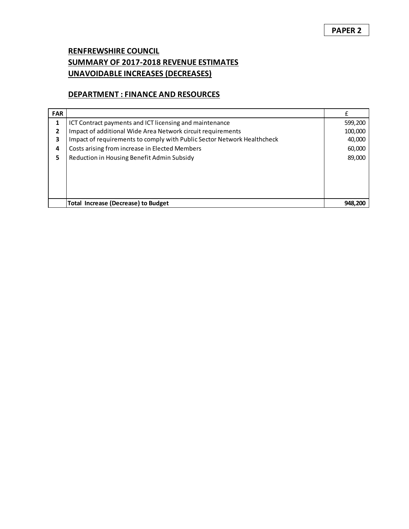#### **DEPARTMENT : FINANCE AND RESOURCES**

| <b>FAR</b> |                                                                         |         |
|------------|-------------------------------------------------------------------------|---------|
|            | ICT Contract payments and ICT licensing and maintenance                 | 599,200 |
| 2          | Impact of additional Wide Area Network circuit requirements             | 100,000 |
| 3          | Impact of requirements to comply with Public Sector Network Healthcheck | 40,000  |
| 4          | Costs arising from increase in Elected Members                          | 60,000  |
| 5          | Reduction in Housing Benefit Admin Subsidy                              | 89,000  |
|            |                                                                         |         |
|            |                                                                         |         |
|            |                                                                         |         |
|            | Total Increase (Decrease) to Budget                                     | 948.20  |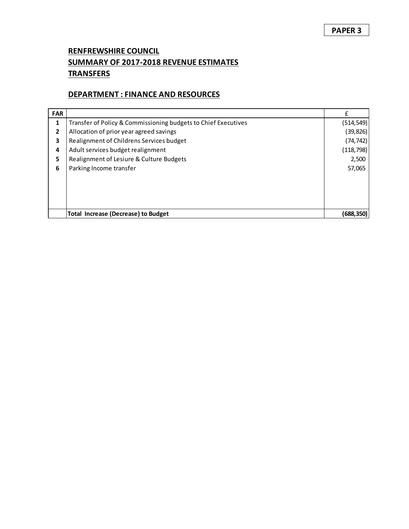## **DEPARTMENT : FINANCE AND RESOURCES**

| <b>FAR</b> |                                                                |            |
|------------|----------------------------------------------------------------|------------|
| 1          | Transfer of Policy & Commissioning budgets to Chief Executives | (514, 549) |
| 2          | Allocation of prior year agreed savings                        | (39, 826)  |
| 3          | Realignment of Childrens Services budget                       | (74,742)   |
| 4          | Adult services budget realignment                              | (118, 798) |
| 5          | Realignment of Lesiure & Culture Budgets                       | 2,500      |
| 6          | Parking Income transfer                                        | 57,065     |
|            |                                                                |            |
|            |                                                                |            |
|            |                                                                |            |
|            |                                                                |            |
|            | <b>Total Increase (Decrease) to Budget</b>                     | (688.350)  |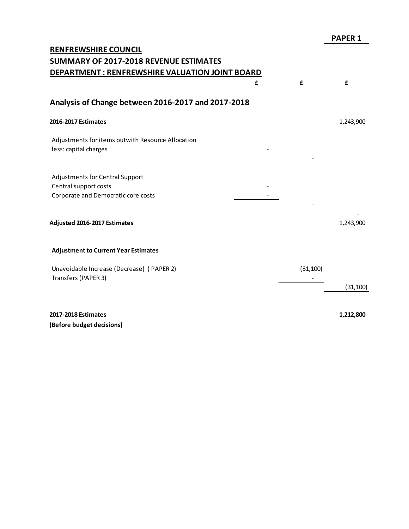|                                                    |   |           | <b>PAPER 1</b> |
|----------------------------------------------------|---|-----------|----------------|
| <b>RENFREWSHIRE COUNCIL</b>                        |   |           |                |
| SUMMARY OF 2017-2018 REVENUE ESTIMATES             |   |           |                |
| DEPARTMENT: RENFREWSHIRE VALUATION JOINT BOARD     |   |           |                |
|                                                    | £ | £         | £              |
| Analysis of Change between 2016-2017 and 2017-2018 |   |           |                |
| 2016-2017 Estimates                                |   |           | 1,243,900      |
| Adjustments for items outwith Resource Allocation  |   |           |                |
| less: capital charges                              |   |           |                |
| <b>Adjustments for Central Support</b>             |   |           |                |
| Central support costs                              |   |           |                |
| Corporate and Democratic core costs                |   |           |                |
| Adjusted 2016-2017 Estimates                       |   |           | 1,243,900      |
|                                                    |   |           |                |
| <b>Adjustment to Current Year Estimates</b>        |   |           |                |
| Unavoidable Increase (Decrease) (PAPER 2)          |   | (31, 100) |                |
| Transfers (PAPER 3)                                |   |           |                |
|                                                    |   |           | (31, 100)      |
| 2017-2018 Estimates                                |   |           | 1,212,800      |
| (Before budget decisions)                          |   |           |                |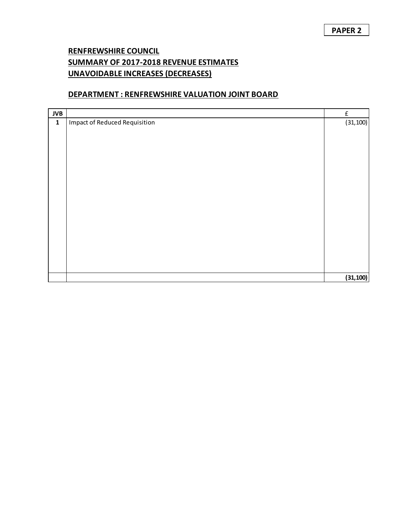#### **DEPARTMENT : RENFREWSHIRE VALUATION JOINT BOARD**

| <b>JVB</b>  |                                      | $\pmb{\mathsf{f}}$ |
|-------------|--------------------------------------|--------------------|
| $\mathbf 1$ | <b>Impact of Reduced Requisition</b> | (31, 100)          |
|             |                                      |                    |
|             |                                      |                    |
|             |                                      |                    |
|             |                                      |                    |
|             |                                      |                    |
|             |                                      |                    |
|             |                                      |                    |
|             |                                      |                    |
|             |                                      |                    |
|             |                                      |                    |
|             |                                      |                    |
|             |                                      |                    |
|             |                                      |                    |
|             |                                      |                    |
|             |                                      |                    |
|             |                                      |                    |
|             |                                      | (31, 100)          |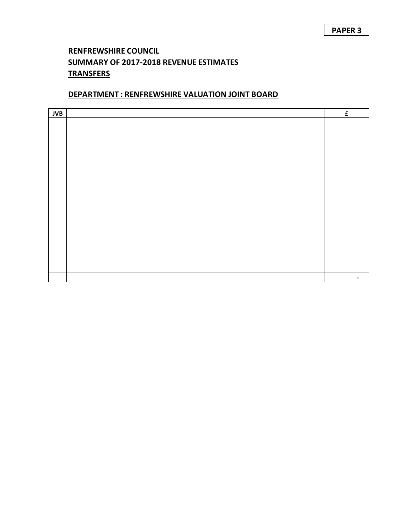#### **DEPARTMENT : RENFREWSHIRE VALUATION JOINT BOARD**

| <b>JVB</b> | $\pmb{\mathsf{f}}$       |
|------------|--------------------------|
|            |                          |
|            |                          |
|            |                          |
|            |                          |
|            |                          |
|            |                          |
|            |                          |
|            |                          |
|            |                          |
|            |                          |
|            |                          |
|            |                          |
|            |                          |
|            |                          |
|            |                          |
|            |                          |
|            | $\overline{\phantom{a}}$ |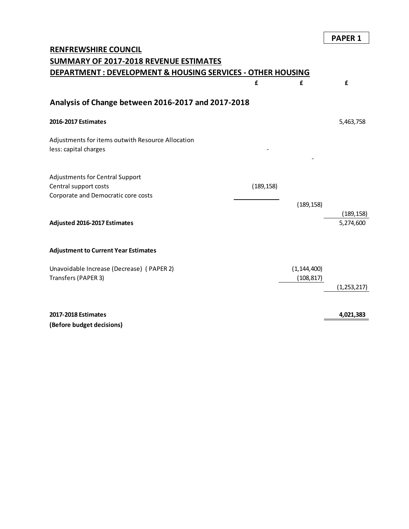| ΔP<br>И<br>┍<br>. .<br>ıv |  |
|---------------------------|--|
|---------------------------|--|

| <b>RENFREWSHIRE COUNCIL</b>                                                                            |            |                             |               |
|--------------------------------------------------------------------------------------------------------|------------|-----------------------------|---------------|
| <b>SUMMARY OF 2017-2018 REVENUE ESTIMATES</b>                                                          |            |                             |               |
| DEPARTMENT: DEVELOPMENT & HOUSING SERVICES - OTHER HOUSING                                             |            |                             |               |
|                                                                                                        | £          | £                           | £             |
| Analysis of Change between 2016-2017 and 2017-2018                                                     |            |                             |               |
| 2016-2017 Estimates                                                                                    |            |                             | 5,463,758     |
| Adjustments for items outwith Resource Allocation<br>less: capital charges                             |            |                             |               |
| <b>Adjustments for Central Support</b><br>Central support costs<br>Corporate and Democratic core costs | (189, 158) |                             |               |
|                                                                                                        |            | (189, 158)                  | (189, 158)    |
| Adjusted 2016-2017 Estimates                                                                           |            |                             | 5,274,600     |
| <b>Adjustment to Current Year Estimates</b>                                                            |            |                             |               |
| Unavoidable Increase (Decrease) (PAPER 2)<br>Transfers (PAPER 3)                                       |            | (1, 144, 400)<br>(108, 817) |               |
|                                                                                                        |            |                             | (1, 253, 217) |
| 2017-2018 Estimates                                                                                    |            |                             | 4,021,383     |
| (Before budget decisions)                                                                              |            |                             |               |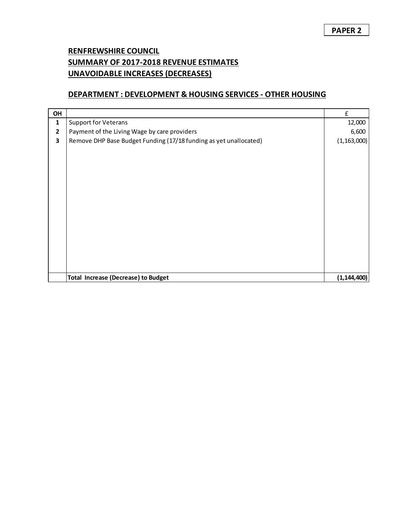#### **DEPARTMENT : DEVELOPMENT & HOUSING SERVICES - OTHER HOUSING**

| OH           |                                                                   | £             |
|--------------|-------------------------------------------------------------------|---------------|
| $\mathbf{1}$ | <b>Support for Veterans</b>                                       | 12,000        |
| $\mathbf{2}$ | Payment of the Living Wage by care providers                      | 6,600         |
| 3            | Remove DHP Base Budget Funding (17/18 funding as yet unallocated) | (1, 163, 000) |
|              |                                                                   |               |
|              | <b>Total Increase (Decrease) to Budget</b>                        | (1, 144, 400) |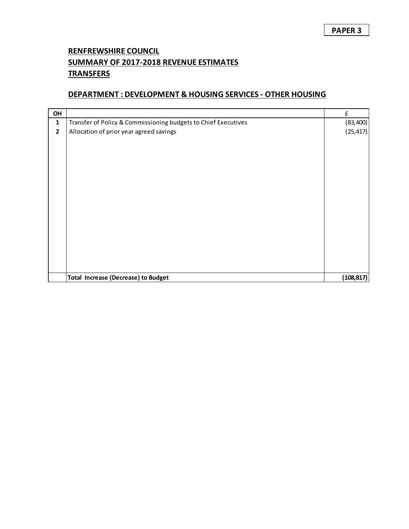#### **DEPARTMENT : DEVELOPMENT & HOUSING SERVICES - OTHER HOUSING**

| OH           |                                                                | £          |
|--------------|----------------------------------------------------------------|------------|
| $\mathbf{1}$ | Transfer of Policy & Commissioning budgets to Chief Executives | (83, 400)  |
| $\mathbf{2}$ | Allocation of prior year agreed savings                        | (25, 417)  |
|              |                                                                |            |
|              |                                                                |            |
|              |                                                                |            |
|              |                                                                |            |
|              |                                                                |            |
|              |                                                                |            |
|              |                                                                |            |
|              |                                                                |            |
|              |                                                                |            |
|              |                                                                |            |
|              |                                                                |            |
|              |                                                                |            |
|              |                                                                |            |
|              |                                                                |            |
|              |                                                                |            |
|              |                                                                |            |
|              | Total Increase (Decrease) to Budget                            | (108, 817) |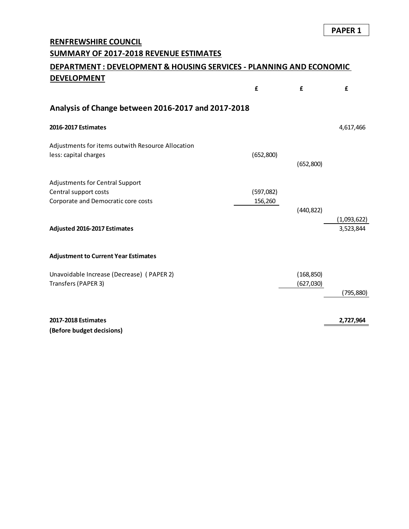## **RENFREWSHIRE COUNCIL**

## **SUMMARY OF 2017-2018 REVENUE ESTIMATES**

# **DEPARTMENT : DEVELOPMENT & HOUSING SERVICES - PLANNING AND ECONOMIC DEVELOPMENT**

|                                                                                                        | £                    | £                       | £           |
|--------------------------------------------------------------------------------------------------------|----------------------|-------------------------|-------------|
| Analysis of Change between 2016-2017 and 2017-2018                                                     |                      |                         |             |
| 2016-2017 Estimates                                                                                    |                      |                         | 4,617,466   |
| Adjustments for items outwith Resource Allocation                                                      |                      |                         |             |
| less: capital charges                                                                                  | (652,800)            | (652,800)               |             |
| <b>Adjustments for Central Support</b><br>Central support costs<br>Corporate and Democratic core costs | (597,082)<br>156,260 |                         |             |
|                                                                                                        |                      | (440, 822)              | (1,093,622) |
| Adjusted 2016-2017 Estimates                                                                           |                      |                         | 3,523,844   |
| <b>Adjustment to Current Year Estimates</b>                                                            |                      |                         |             |
| Unavoidable Increase (Decrease) (PAPER 2)<br>Transfers (PAPER 3)                                       |                      | (168, 850)<br>(627,030) |             |
|                                                                                                        |                      |                         | (795,880)   |
| 2017-2018 Estimates                                                                                    |                      |                         | 2,727,964   |
| (Before budget decisions)                                                                              |                      |                         |             |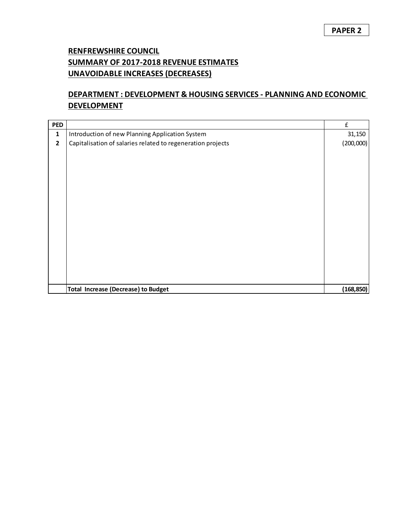## **DEPARTMENT : DEVELOPMENT & HOUSING SERVICES - PLANNING AND ECONOMIC DEVELOPMENT**

| <b>PED</b>     |                                                             | $\pmb{\mathsf{f}}$ |
|----------------|-------------------------------------------------------------|--------------------|
| $\mathbf{1}$   | Introduction of new Planning Application System             | 31,150             |
| $\overline{2}$ | Capitalisation of salaries related to regeneration projects | (200,000)          |
|                |                                                             |                    |
|                |                                                             |                    |
|                |                                                             |                    |
|                |                                                             |                    |
|                |                                                             |                    |
|                |                                                             |                    |
|                |                                                             |                    |
|                |                                                             |                    |
|                |                                                             |                    |
|                |                                                             |                    |
|                |                                                             |                    |
|                |                                                             |                    |
|                |                                                             |                    |
|                |                                                             |                    |
|                |                                                             |                    |
|                |                                                             |                    |
|                | Total Increase (Decrease) to Budget                         | (168, 850)         |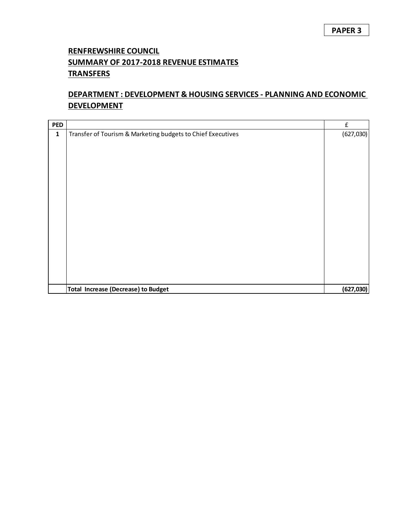## **DEPARTMENT : DEVELOPMENT & HOUSING SERVICES - PLANNING AND ECONOMIC DEVELOPMENT**

| <b>PED</b>  |                                                             | $\pmb{\mathsf{f}}$ |
|-------------|-------------------------------------------------------------|--------------------|
| $\mathbf 1$ | Transfer of Tourism & Marketing budgets to Chief Executives | (627,030)          |
|             | Total Increase (Decrease) to Budget                         | (627, 030)         |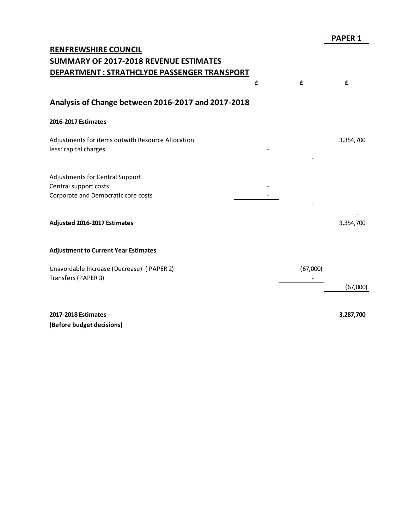|                                                    |   |          | <b>PAPER 1</b> |
|----------------------------------------------------|---|----------|----------------|
| <b>RENFREWSHIRE COUNCIL</b>                        |   |          |                |
| SUMMARY OF 2017-2018 REVENUE ESTIMATES             |   |          |                |
| DEPARTMENT : STRATHCLYDE PASSENGER TRANSPORT       |   |          |                |
|                                                    | £ | £        | £              |
| Analysis of Change between 2016-2017 and 2017-2018 |   |          |                |
| 2016-2017 Estimates                                |   |          |                |
| Adjustments for items outwith Resource Allocation  |   |          | 3,354,700      |
| less: capital charges                              |   |          |                |
|                                                    |   |          |                |
| Adjustments for Central Support                    |   |          |                |
| Central support costs                              |   |          |                |
| Corporate and Democratic core costs                |   |          |                |
|                                                    |   |          |                |
| Adjusted 2016-2017 Estimates                       |   |          | 3,354,700      |
|                                                    |   |          |                |
| <b>Adjustment to Current Year Estimates</b>        |   |          |                |
| Unavoidable Increase (Decrease) (PAPER 2)          |   | (67,000) |                |
| Transfers (PAPER 3)                                |   |          |                |
|                                                    |   |          | (67,000)       |
| 2017-2018 Estimates                                |   |          | 3,287,700      |
| (Before budget decisions)                          |   |          |                |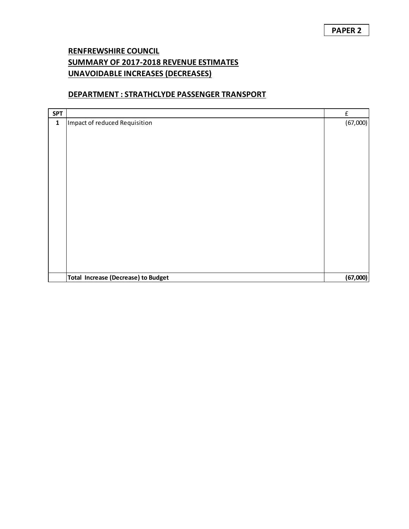#### **DEPARTMENT : STRATHCLYDE PASSENGER TRANSPORT**

| <b>SPT</b>  |                                     | $\mathbf f$ |
|-------------|-------------------------------------|-------------|
| $\mathbf 1$ | Impact of reduced Requisition       | (67,000)    |
|             | Total Increase (Decrease) to Budget | (67,000)    |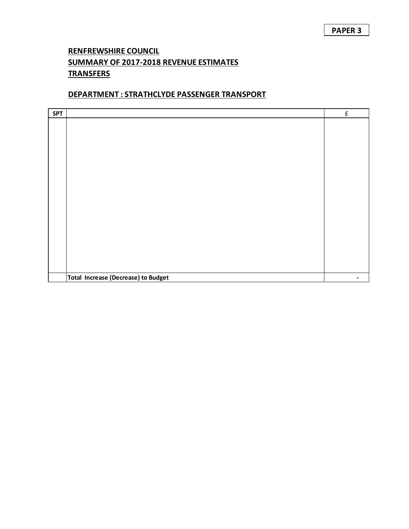#### **DEPARTMENT : STRATHCLYDE PASSENGER TRANSPORT**

| <b>SPT</b> |                                            | $\mathbf f$ |
|------------|--------------------------------------------|-------------|
|            |                                            |             |
|            |                                            |             |
|            |                                            |             |
|            |                                            |             |
|            |                                            |             |
|            |                                            |             |
|            |                                            |             |
|            |                                            |             |
|            |                                            |             |
|            |                                            |             |
|            |                                            |             |
|            |                                            |             |
|            |                                            |             |
|            |                                            |             |
|            |                                            |             |
|            |                                            |             |
|            | <b>Total Increase (Decrease) to Budget</b> | ٠           |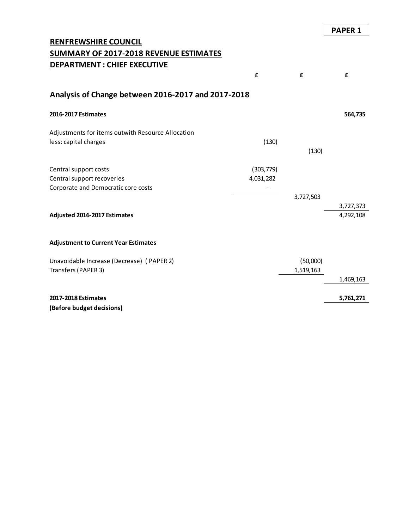|                                                    |            |           | <b>PAPER 1</b> |
|----------------------------------------------------|------------|-----------|----------------|
| <b>RENFREWSHIRE COUNCIL</b>                        |            |           |                |
| <b>SUMMARY OF 2017-2018 REVENUE ESTIMATES</b>      |            |           |                |
| <b>DEPARTMENT: CHIEF EXECUTIVE</b>                 |            |           |                |
|                                                    | £          | £         | £              |
| Analysis of Change between 2016-2017 and 2017-2018 |            |           |                |
| 2016-2017 Estimates                                |            |           | 564,735        |
| Adjustments for items outwith Resource Allocation  |            |           |                |
| less: capital charges                              | (130)      |           |                |
|                                                    |            | (130)     |                |
| Central support costs                              | (303, 779) |           |                |
| Central support recoveries                         | 4,031,282  |           |                |
| Corporate and Democratic core costs                |            |           |                |
|                                                    |            | 3,727,503 |                |
|                                                    |            |           | 3,727,373      |
| Adjusted 2016-2017 Estimates                       |            |           | 4,292,108      |
| <b>Adjustment to Current Year Estimates</b>        |            |           |                |
| Unavoidable Increase (Decrease) (PAPER 2)          |            | (50,000)  |                |
| Transfers (PAPER 3)                                |            | 1,519,163 |                |
|                                                    |            |           | 1,469,163      |
| 2017-2018 Estimates                                |            |           | 5,761,271      |

**(Before budget decisions)**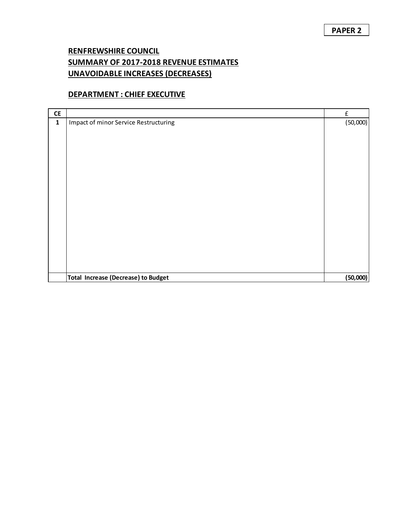## **DEPARTMENT : CHIEF EXECUTIVE**

| ${\sf CE}$   |                                            | $\pmb{\mathsf{f}}$ |
|--------------|--------------------------------------------|--------------------|
| $\mathbf{1}$ | Impact of minor Service Restructuring      | (50,000)           |
|              |                                            |                    |
|              |                                            |                    |
|              |                                            |                    |
|              |                                            |                    |
|              |                                            |                    |
|              |                                            |                    |
|              |                                            |                    |
|              |                                            |                    |
|              |                                            |                    |
|              |                                            |                    |
|              |                                            |                    |
|              |                                            |                    |
|              |                                            |                    |
|              |                                            |                    |
|              |                                            |                    |
|              |                                            |                    |
|              | <b>Total Increase (Decrease) to Budget</b> | (50,000)           |
|              |                                            |                    |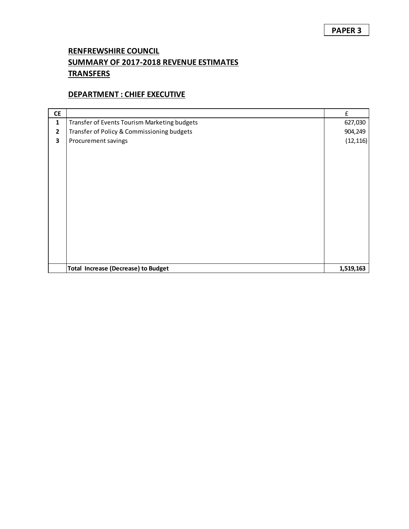## **DEPARTMENT : CHIEF EXECUTIVE**

| <b>CE</b>    |                                              | £         |
|--------------|----------------------------------------------|-----------|
| $\mathbf{1}$ | Transfer of Events Tourism Marketing budgets | 627,030   |
| 2            | Transfer of Policy & Commissioning budgets   | 904,249   |
| 3            | Procurement savings                          | (12, 116) |
|              |                                              |           |
|              |                                              |           |
|              |                                              |           |
|              |                                              |           |
|              |                                              |           |
|              |                                              |           |
|              |                                              |           |
|              |                                              |           |
|              |                                              |           |
|              |                                              |           |
|              |                                              |           |
|              |                                              |           |
|              |                                              |           |
|              | <b>Total Increase (Decrease) to Budget</b>   | 1,519,163 |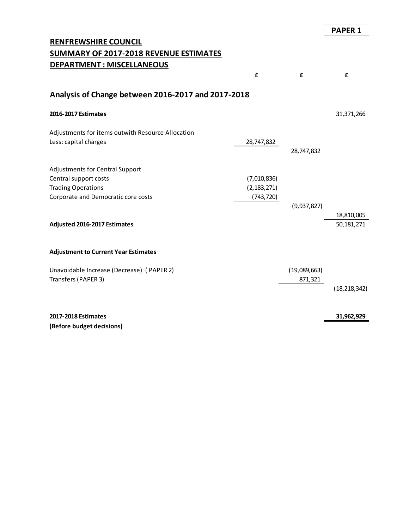|                                                    |               |              | <b>PAPER 1</b> |
|----------------------------------------------------|---------------|--------------|----------------|
| <b>RENFREWSHIRE COUNCIL</b>                        |               |              |                |
| <b>SUMMARY OF 2017-2018 REVENUE ESTIMATES</b>      |               |              |                |
| <b>DEPARTMENT: MISCELLANEOUS</b>                   |               |              |                |
|                                                    | £             | £            | £              |
| Analysis of Change between 2016-2017 and 2017-2018 |               |              |                |
| 2016-2017 Estimates                                |               |              | 31,371,266     |
| Adjustments for items outwith Resource Allocation  |               |              |                |
| Less: capital charges                              | 28,747,832    |              |                |
|                                                    |               | 28,747,832   |                |
| Adjustments for Central Support                    |               |              |                |
| Central support costs                              | (7,010,836)   |              |                |
| <b>Trading Operations</b>                          | (2, 183, 271) |              |                |
| Corporate and Democratic core costs                | (743, 720)    |              |                |
|                                                    |               | (9,937,827)  | 18,810,005     |
| Adjusted 2016-2017 Estimates                       |               |              | 50,181,271     |
|                                                    |               |              |                |
| <b>Adjustment to Current Year Estimates</b>        |               |              |                |
| Unavoidable Increase (Decrease) (PAPER 2)          |               | (19,089,663) |                |
| Transfers (PAPER 3)                                |               | 871,321      |                |
|                                                    |               |              | (18, 218, 342) |
|                                                    |               |              |                |
| 2017-2018 Estimates                                |               |              | 31,962,929     |
| (Before budget decisions)                          |               |              |                |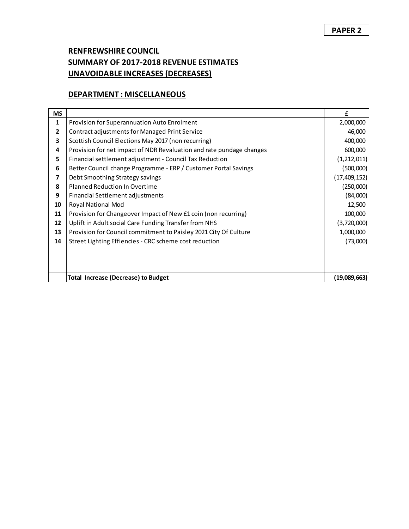#### **DEPARTMENT : MISCELLANEOUS**

| <b>MS</b> |                                                                      | £              |
|-----------|----------------------------------------------------------------------|----------------|
| 1         | <b>Provision for Superannuation Auto Enrolment</b>                   | 2,000,000      |
| 2         | Contract adjustments for Managed Print Service                       | 46,000         |
| 3         | Scottish Council Elections May 2017 (non recurring)                  | 400,000        |
| 4         | Provision for net impact of NDR Revaluation and rate pundage changes | 600,000        |
| 5         | Financial settlement adjustment - Council Tax Reduction              | (1, 212, 011)  |
| 6         | Better Council change Programme - ERP / Customer Portal Savings      | (500,000)      |
| 7         | Debt Smoothing Strategy savings                                      | (17, 409, 152) |
| 8         | <b>Planned Reduction In Overtime</b>                                 | (250,000)      |
| 9         | Financial Settlement adjustments                                     | (84,000)       |
| 10        | Royal National Mod                                                   | 12,500         |
| 11        | Provision for Changeover Impact of New £1 coin (non recurring)       | 100,000        |
| 12        | Uplift in Adult social Care Funding Transfer from NHS                | (3,720,000)    |
| 13        | Provision for Council commitment to Paisley 2021 City Of Culture     | 1,000,000      |
| 14        | Street Lighting Effiencies - CRC scheme cost reduction               | (73,000)       |
|           |                                                                      |                |
|           |                                                                      |                |
|           | <b>Total Increase (Decrease) to Budget</b>                           | (19,089,663)   |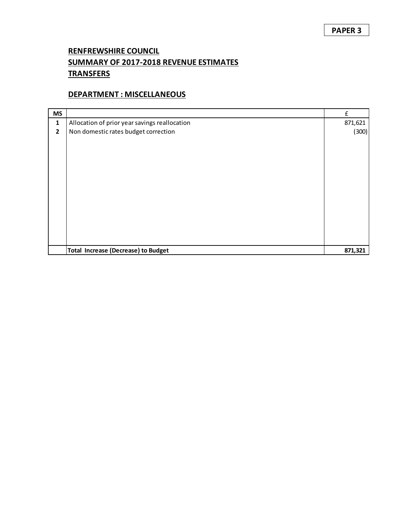## **DEPARTMENT : MISCELLANEOUS**

| <b>MS</b>      |                                               | £       |
|----------------|-----------------------------------------------|---------|
| $\mathbf{1}$   | Allocation of prior year savings reallocation | 871,621 |
| $\overline{2}$ | Non domestic rates budget correction          | (300)   |
|                |                                               |         |
|                |                                               |         |
|                |                                               |         |
|                |                                               |         |
|                |                                               |         |
|                |                                               |         |
|                |                                               |         |
|                |                                               |         |
|                |                                               |         |
|                |                                               |         |
|                |                                               |         |
|                |                                               |         |
|                | <b>Total Increase (Decrease) to Budget</b>    | 871,321 |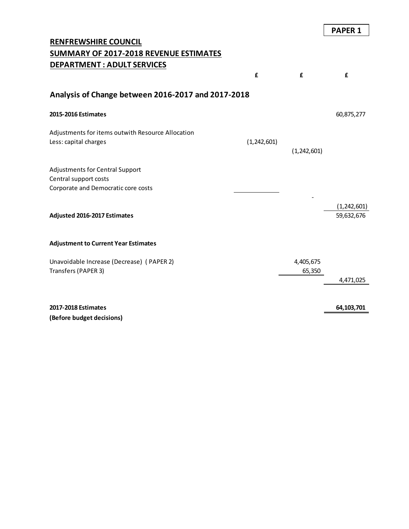|                                                    |               |             | <b>PAPER 1</b> |
|----------------------------------------------------|---------------|-------------|----------------|
| <b>RENFREWSHIRE COUNCIL</b>                        |               |             |                |
| <b>SUMMARY OF 2017-2018 REVENUE ESTIMATES</b>      |               |             |                |
| <b>DEPARTMENT: ADULT SERVICES</b>                  |               |             |                |
|                                                    | £             | £           | £              |
| Analysis of Change between 2016-2017 and 2017-2018 |               |             |                |
| 2015-2016 Estimates                                |               |             | 60,875,277     |
| Adjustments for items outwith Resource Allocation  |               |             |                |
| Less: capital charges                              | (1, 242, 601) |             |                |
|                                                    |               | (1,242,601) |                |
| Adjustments for Central Support                    |               |             |                |
| Central support costs                              |               |             |                |
| Corporate and Democratic core costs                |               |             |                |
|                                                    |               |             | (1,242,601)    |
| Adjusted 2016-2017 Estimates                       |               |             | 59,632,676     |
|                                                    |               |             |                |
| <b>Adjustment to Current Year Estimates</b>        |               |             |                |
| Unavoidable Increase (Decrease) (PAPER 2)          |               | 4,405,675   |                |
| Transfers (PAPER 3)                                |               | 65,350      |                |
|                                                    |               |             | 4,471,025      |
|                                                    |               |             |                |
| 2017-2018 Estimates                                |               |             | 64, 103, 701   |

**(Before budget decisions)**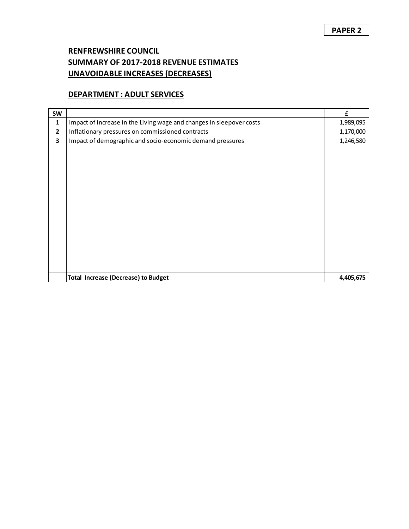## **DEPARTMENT : ADULT SERVICES**

| <b>SW</b>      |                                                                      | £         |
|----------------|----------------------------------------------------------------------|-----------|
| 1              | Impact of increase in the Living wage and changes in sleepover costs | 1,989,095 |
| $\overline{2}$ | Inflationary pressures on commissioned contracts                     | 1,170,000 |
| 3              | Impact of demographic and socio-economic demand pressures            | 1,246,580 |
|                |                                                                      |           |
|                | <b>Total Increase (Decrease) to Budget</b>                           | 4,405,675 |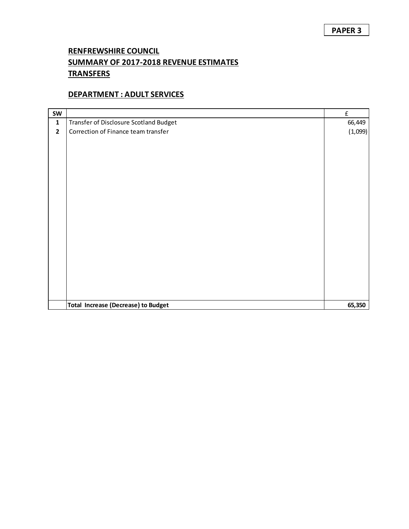## **DEPARTMENT : ADULT SERVICES**

| SW             |                                        | $\pmb{\mathsf{f}}$ |
|----------------|----------------------------------------|--------------------|
| $\mathbf 1$    | Transfer of Disclosure Scotland Budget | 66,449             |
| $\overline{2}$ | Correction of Finance team transfer    | (1,099)            |
|                |                                        |                    |
|                |                                        |                    |
|                |                                        |                    |
|                |                                        |                    |
|                |                                        |                    |
|                |                                        |                    |
|                |                                        |                    |
|                |                                        |                    |
|                |                                        |                    |
|                |                                        |                    |
|                |                                        |                    |
|                |                                        |                    |
|                |                                        |                    |
|                |                                        |                    |
|                |                                        |                    |
|                |                                        |                    |
|                |                                        |                    |
|                |                                        |                    |
|                | Total Increase (Decrease) to Budget    | 65,350             |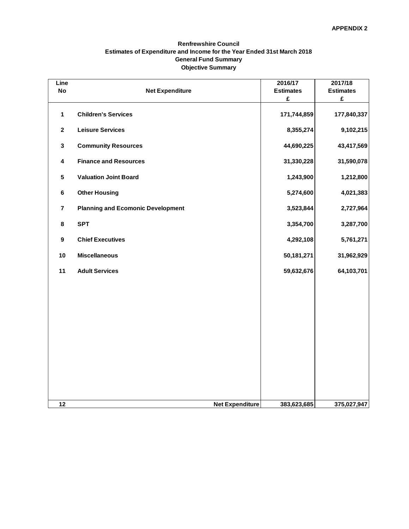#### **Renfrewshire Council Estimates of Expenditure and Income for the Year Ended 31st March 2018 General Fund Summary Objective Summary**

| <b>Estimates of Expenditure and Income for the Year Ended 31st March 2018</b><br><b>General Fund Summary</b><br><b>Objective Summary</b> |                                          |                        |                                  |                                  |
|------------------------------------------------------------------------------------------------------------------------------------------|------------------------------------------|------------------------|----------------------------------|----------------------------------|
| Line<br><b>No</b>                                                                                                                        | <b>Net Expenditure</b>                   |                        | 2016/17<br><b>Estimates</b><br>£ | 2017/18<br><b>Estimates</b><br>£ |
| $\mathbf{1}$                                                                                                                             | <b>Children's Services</b>               |                        | 171,744,859                      | 177,840,337                      |
| $\mathbf 2$                                                                                                                              | <b>Leisure Services</b>                  |                        | 8,355,274                        | 9,102,215                        |
| $\mathbf 3$                                                                                                                              | <b>Community Resources</b>               |                        | 44,690,225                       | 43,417,569                       |
| 4                                                                                                                                        | <b>Finance and Resources</b>             |                        | 31,330,228                       | 31,590,078                       |
| $\overline{\mathbf{5}}$                                                                                                                  | <b>Valuation Joint Board</b>             |                        | 1,243,900                        | 1,212,800                        |
| 6                                                                                                                                        | <b>Other Housing</b>                     |                        | 5,274,600                        | 4,021,383                        |
| $\overline{7}$                                                                                                                           | <b>Planning and Ecomonic Development</b> |                        | 3,523,844                        | 2,727,964                        |
| 8                                                                                                                                        | <b>SPT</b>                               |                        | 3,354,700                        | 3,287,700                        |
| 9                                                                                                                                        | <b>Chief Executives</b>                  |                        | 4,292,108                        | 5,761,271                        |
| 10                                                                                                                                       | <b>Miscellaneous</b>                     |                        | 50,181,271                       | 31,962,929                       |
| 11                                                                                                                                       | <b>Adult Services</b>                    |                        | 59,632,676                       | 64,103,701                       |
|                                                                                                                                          |                                          |                        |                                  |                                  |
|                                                                                                                                          |                                          |                        |                                  |                                  |
|                                                                                                                                          |                                          |                        |                                  |                                  |
|                                                                                                                                          |                                          |                        |                                  |                                  |
|                                                                                                                                          |                                          |                        |                                  |                                  |
| 12                                                                                                                                       |                                          | <b>Net Expenditure</b> | 383,623,685                      | 375,027,947                      |